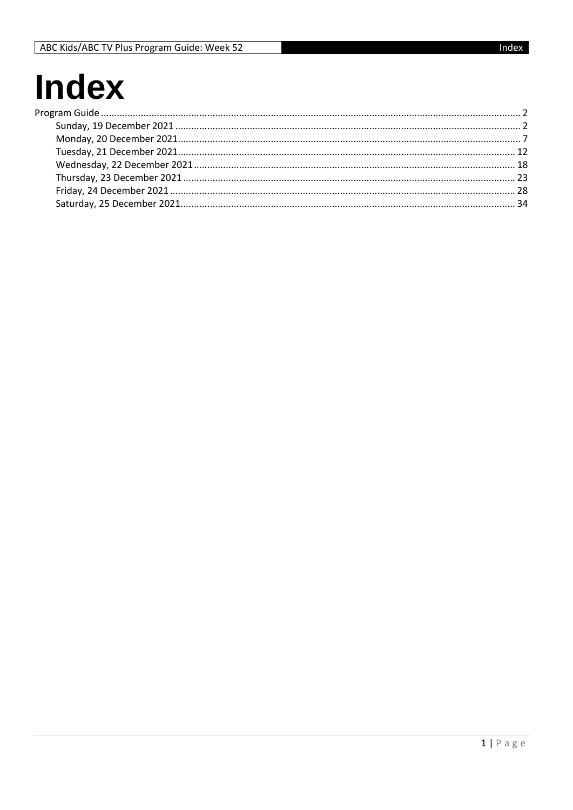# **Index**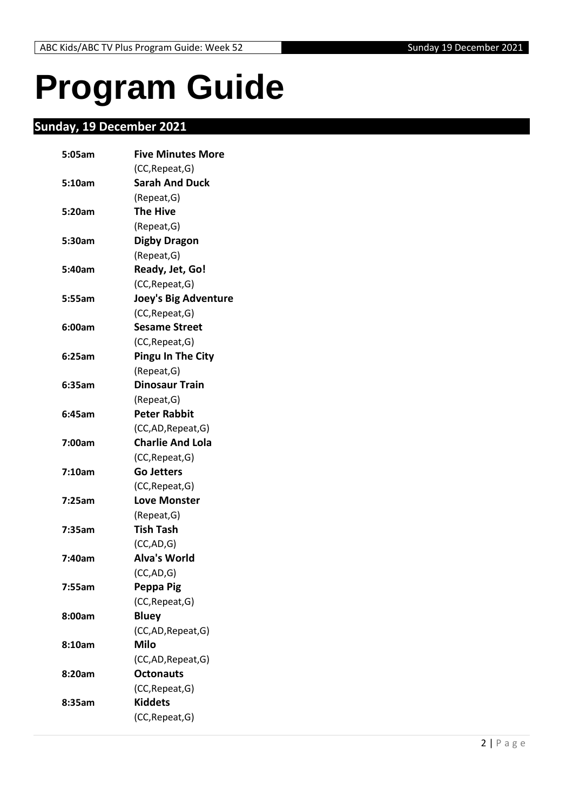# <span id="page-1-0"></span>**Program Guide**

# <span id="page-1-1"></span>**Sunday, 19 December 2021**

| 5:05am | <b>Five Minutes More</b>    |
|--------|-----------------------------|
|        | (CC, Repeat, G)             |
| 5:10am | <b>Sarah And Duck</b>       |
|        | (Repeat, G)                 |
| 5:20am | <b>The Hive</b>             |
|        | (Repeat, G)                 |
| 5:30am | <b>Digby Dragon</b>         |
|        | (Repeat, G)                 |
| 5:40am | Ready, Jet, Go!             |
|        | (CC, Repeat, G)             |
| 5:55am | <b>Joey's Big Adventure</b> |
|        | (CC, Repeat, G)             |
| 6:00am | <b>Sesame Street</b>        |
|        | (CC, Repeat, G)             |
| 6:25am | <b>Pingu In The City</b>    |
|        | (Repeat, G)                 |
| 6:35am | <b>Dinosaur Train</b>       |
|        | (Repeat, G)                 |
| 6:45am | <b>Peter Rabbit</b>         |
|        | (CC,AD, Repeat, G)          |
| 7:00am | <b>Charlie And Lola</b>     |
|        | (CC, Repeat, G)             |
| 7:10am | <b>Go Jetters</b>           |
|        | (CC, Repeat, G)             |
| 7:25am | <b>Love Monster</b>         |
|        | (Repeat, G)                 |
| 7:35am | <b>Tish Tash</b>            |
|        | (CC, AD, G)                 |
| 7:40am | <b>Alva's World</b>         |
|        | (CC,AD,G)                   |
| 7:55am | Peppa Pig                   |
|        | (CC, Repeat, G)             |
| 8:00am | <b>Bluey</b>                |
|        | (CC,AD, Repeat, G)          |
| 8:10am | Milo                        |
|        | (CC,AD, Repeat, G)          |
| 8:20am | <b>Octonauts</b>            |
|        | (CC, Repeat, G)             |
| 8:35am | <b>Kiddets</b>              |
|        | (CC, Repeat, G)             |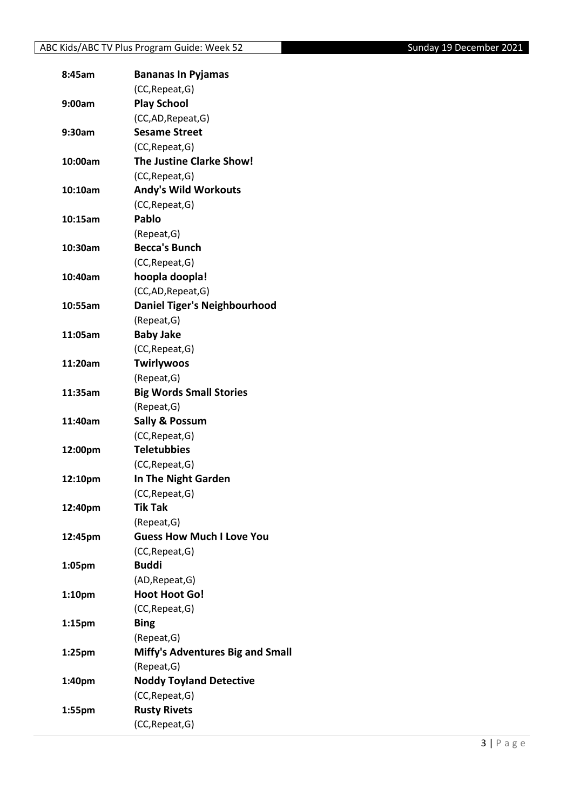| 8:45am             | <b>Bananas In Pyjamas</b>               |
|--------------------|-----------------------------------------|
|                    | (CC, Repeat, G)                         |
| 9:00am             | <b>Play School</b>                      |
|                    | (CC,AD, Repeat, G)                      |
| 9:30am             | <b>Sesame Street</b>                    |
|                    | (CC, Repeat, G)                         |
| 10:00am            | <b>The Justine Clarke Show!</b>         |
|                    | (CC, Repeat, G)                         |
| 10:10am            | <b>Andy's Wild Workouts</b>             |
|                    | (CC, Repeat, G)                         |
| 10:15am            | Pablo                                   |
|                    | (Repeat, G)                             |
| 10:30am            | <b>Becca's Bunch</b>                    |
|                    | (CC, Repeat, G)                         |
| 10:40am            | hoopla doopla!                          |
|                    | (CC,AD, Repeat, G)                      |
| 10:55am            | <b>Daniel Tiger's Neighbourhood</b>     |
|                    | (Repeat, G)                             |
| 11:05am            | <b>Baby Jake</b>                        |
|                    | (CC, Repeat, G)                         |
| 11:20am            | <b>Twirlywoos</b>                       |
|                    | (Repeat, G)                             |
| 11:35am            | <b>Big Words Small Stories</b>          |
|                    | (Repeat, G)                             |
| 11:40am            | <b>Sally &amp; Possum</b>               |
|                    | (CC, Repeat, G)                         |
| 12:00pm            | <b>Teletubbies</b>                      |
|                    | (CC, Repeat, G)                         |
| 12:10pm            | In The Night Garden                     |
|                    | (CC, Repeat, G)                         |
| 12:40pm            | <b>Tik Tak</b>                          |
|                    | (Repeat, G)                             |
| 12:45pm            | <b>Guess How Much I Love You</b>        |
|                    | (CC, Repeat, G)                         |
| 1:05pm             | <b>Buddi</b>                            |
|                    | (AD, Repeat, G)                         |
| 1:10 <sub>pm</sub> | <b>Hoot Hoot Go!</b>                    |
|                    | (CC, Repeat, G)                         |
| 1:15pm             | <b>Bing</b>                             |
|                    | (Repeat, G)                             |
| 1:25pm             | <b>Miffy's Adventures Big and Small</b> |
|                    | (Repeat, G)                             |
| 1:40pm             | <b>Noddy Toyland Detective</b>          |
|                    | (CC, Repeat, G)                         |
| 1:55pm             | <b>Rusty Rivets</b>                     |
|                    | (CC, Repeat, G)                         |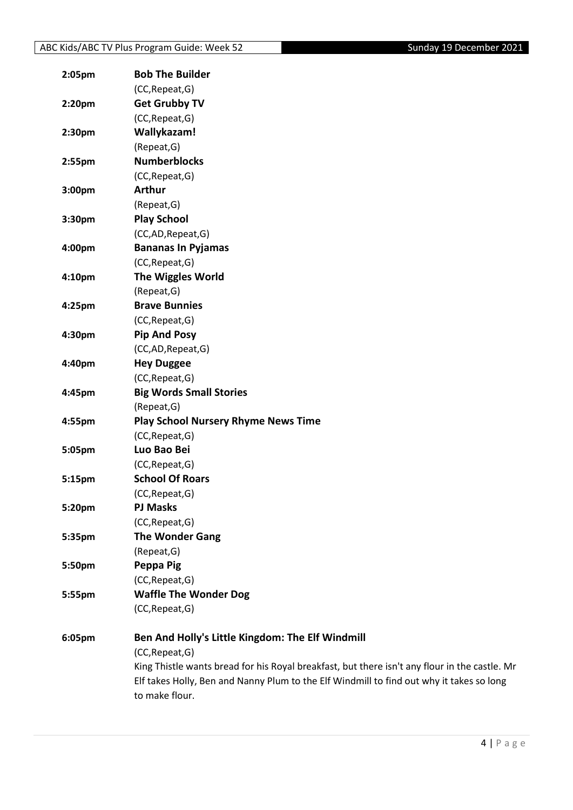| 2:05 <sub>pm</sub> | <b>Bob The Builder</b>                                                                                     |
|--------------------|------------------------------------------------------------------------------------------------------------|
|                    | (CC, Repeat, G)                                                                                            |
| 2:20pm             | <b>Get Grubby TV</b>                                                                                       |
|                    | (CC, Repeat, G)                                                                                            |
| 2:30pm             | Wallykazam!                                                                                                |
|                    | (Repeat, G)                                                                                                |
| 2:55pm             | <b>Numberblocks</b>                                                                                        |
|                    | (CC, Repeat, G)                                                                                            |
| 3:00pm             | <b>Arthur</b>                                                                                              |
|                    | (Repeat, G)                                                                                                |
| 3:30pm             | <b>Play School</b>                                                                                         |
|                    | (CC,AD,Repeat,G)                                                                                           |
| 4:00pm             | <b>Bananas In Pyjamas</b>                                                                                  |
|                    | (CC, Repeat, G)                                                                                            |
| 4:10 <sub>pm</sub> | <b>The Wiggles World</b>                                                                                   |
|                    | (Repeat, G)                                                                                                |
| 4:25pm             | <b>Brave Bunnies</b>                                                                                       |
|                    | (CC, Repeat, G)                                                                                            |
| 4:30pm             | <b>Pip And Posy</b>                                                                                        |
|                    | (CC,AD,Repeat,G)                                                                                           |
| 4:40pm             | <b>Hey Duggee</b>                                                                                          |
|                    | (CC, Repeat, G)                                                                                            |
| 4:45pm             | <b>Big Words Small Stories</b>                                                                             |
|                    | (Repeat, G)                                                                                                |
| 4:55pm             | <b>Play School Nursery Rhyme News Time</b>                                                                 |
|                    | (CC, Repeat, G)                                                                                            |
| 5:05pm             | Luo Bao Bei                                                                                                |
|                    | (CC, Repeat, G)                                                                                            |
| 5:15pm             | <b>School Of Roars</b>                                                                                     |
|                    | (CC, Repeat, G)                                                                                            |
| 5:20pm             | <b>PJ Masks</b>                                                                                            |
|                    | (CC, Repeat, G)                                                                                            |
| 5:35pm             | <b>The Wonder Gang</b>                                                                                     |
|                    | (Repeat, G)                                                                                                |
| 5:50pm             | Peppa Pig                                                                                                  |
|                    | (CC, Repeat, G)                                                                                            |
| 5:55pm             | <b>Waffle The Wonder Dog</b>                                                                               |
|                    | (CC, Repeat, G)                                                                                            |
| 6:05pm             | Ben And Holly's Little Kingdom: The Elf Windmill                                                           |
|                    | (CC, Repeat, G)                                                                                            |
|                    | King Thistle wants bread for his Royal breakfast, but there isn't any flour in the castle. Mr              |
|                    | Elf takes Holly, Ben and Nanny Plum to the Elf Windmill to find out why it takes so long<br>to make flour. |
|                    |                                                                                                            |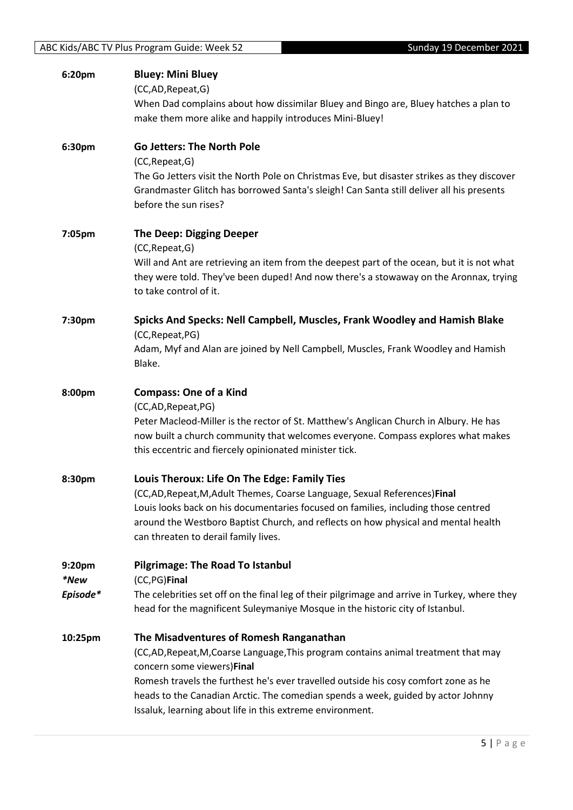| 6:20pm           | <b>Bluey: Mini Bluey</b><br>(CC,AD,Repeat,G)<br>When Dad complains about how dissimilar Bluey and Bingo are, Bluey hatches a plan to<br>make them more alike and happily introduces Mini-Bluey!                                                                                                                                                                                                      |
|------------------|------------------------------------------------------------------------------------------------------------------------------------------------------------------------------------------------------------------------------------------------------------------------------------------------------------------------------------------------------------------------------------------------------|
| 6:30pm           | <b>Go Jetters: The North Pole</b><br>(CC, Repeat, G)<br>The Go Jetters visit the North Pole on Christmas Eve, but disaster strikes as they discover<br>Grandmaster Glitch has borrowed Santa's sleigh! Can Santa still deliver all his presents<br>before the sun rises?                                                                                                                             |
| 7:05pm           | <b>The Deep: Digging Deeper</b><br>(CC, Repeat, G)<br>Will and Ant are retrieving an item from the deepest part of the ocean, but it is not what<br>they were told. They've been duped! And now there's a stowaway on the Aronnax, trying<br>to take control of it.                                                                                                                                  |
| 7:30pm           | Spicks And Specks: Nell Campbell, Muscles, Frank Woodley and Hamish Blake<br>(CC, Repeat, PG)<br>Adam, Myf and Alan are joined by Nell Campbell, Muscles, Frank Woodley and Hamish<br>Blake.                                                                                                                                                                                                         |
| 8:00pm           | <b>Compass: One of a Kind</b><br>(CC,AD,Repeat,PG)<br>Peter Macleod-Miller is the rector of St. Matthew's Anglican Church in Albury. He has<br>now built a church community that welcomes everyone. Compass explores what makes<br>this eccentric and fiercely opinionated minister tick.                                                                                                            |
| 8:30pm           | Louis Theroux: Life On The Edge: Family Ties<br>(CC,AD, Repeat, M, Adult Themes, Coarse Language, Sexual References) Final<br>Louis looks back on his documentaries focused on families, including those centred<br>around the Westboro Baptist Church, and reflects on how physical and mental health<br>can threaten to derail family lives.                                                       |
| 9:20pm           | <b>Pilgrimage: The Road To Istanbul</b>                                                                                                                                                                                                                                                                                                                                                              |
| *New<br>Episode* | (CC,PG)Final<br>The celebrities set off on the final leg of their pilgrimage and arrive in Turkey, where they<br>head for the magnificent Suleymaniye Mosque in the historic city of Istanbul.                                                                                                                                                                                                       |
| 10:25pm          | The Misadventures of Romesh Ranganathan<br>(CC,AD, Repeat, M, Coarse Language, This program contains animal treatment that may<br>concern some viewers)Final<br>Romesh travels the furthest he's ever travelled outside his cosy comfort zone as he<br>heads to the Canadian Arctic. The comedian spends a week, guided by actor Johnny<br>Issaluk, learning about life in this extreme environment. |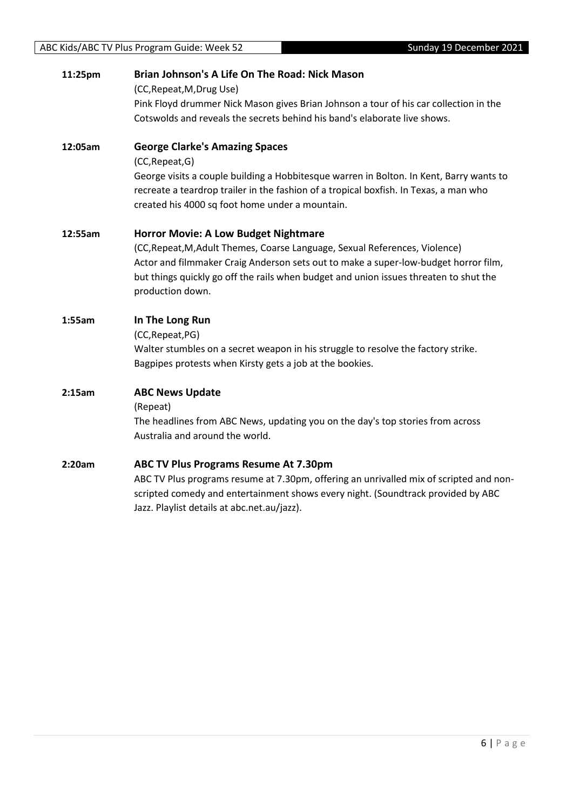| 11:25pm | Brian Johnson's A Life On The Road: Nick Mason<br>(CC, Repeat, M, Drug Use)<br>Pink Floyd drummer Nick Mason gives Brian Johnson a tour of his car collection in the<br>Cotswolds and reveals the secrets behind his band's elaborate live shows.                                                                              |
|---------|--------------------------------------------------------------------------------------------------------------------------------------------------------------------------------------------------------------------------------------------------------------------------------------------------------------------------------|
| 12:05am | <b>George Clarke's Amazing Spaces</b><br>(CC, Repeat, G)<br>George visits a couple building a Hobbitesque warren in Bolton. In Kent, Barry wants to<br>recreate a teardrop trailer in the fashion of a tropical boxfish. In Texas, a man who<br>created his 4000 sq foot home under a mountain.                                |
| 12:55am | <b>Horror Movie: A Low Budget Nightmare</b><br>(CC, Repeat, M, Adult Themes, Coarse Language, Sexual References, Violence)<br>Actor and filmmaker Craig Anderson sets out to make a super-low-budget horror film,<br>but things quickly go off the rails when budget and union issues threaten to shut the<br>production down. |
| 1:55am  | In The Long Run<br>(CC, Repeat, PG)<br>Walter stumbles on a secret weapon in his struggle to resolve the factory strike.<br>Bagpipes protests when Kirsty gets a job at the bookies.                                                                                                                                           |
| 2:15am  | <b>ABC News Update</b><br>(Repeat)<br>The headlines from ABC News, updating you on the day's top stories from across<br>Australia and around the world.                                                                                                                                                                        |
| 2:20am  | ABC TV Plus Programs Resume At 7.30pm<br>ABC TV Plus programs resume at 7.30pm, offering an unrivalled mix of scripted and non-<br>scripted comedy and entertainment shows every night. (Soundtrack provided by ABC<br>Jazz. Playlist details at abc.net.au/jazz).                                                             |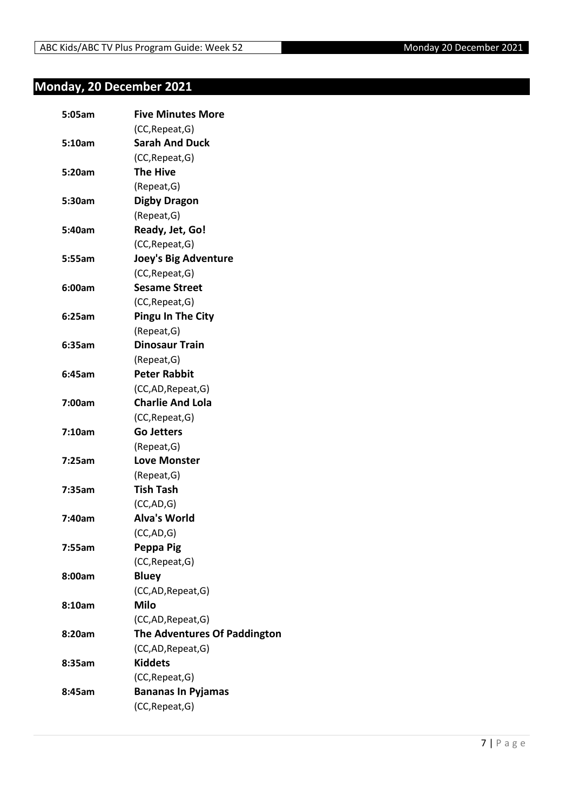## <span id="page-6-0"></span>**Monday, 20 December 2021**

| 5:05am | <b>Five Minutes More</b>            |
|--------|-------------------------------------|
|        | (CC, Repeat, G)                     |
| 5:10am | <b>Sarah And Duck</b>               |
|        | (CC, Repeat, G)                     |
| 5:20am | <b>The Hive</b>                     |
|        | (Repeat, G)                         |
| 5:30am | <b>Digby Dragon</b>                 |
|        | (Repeat, G)                         |
| 5:40am | Ready, Jet, Go!                     |
|        | (CC, Repeat, G)                     |
| 5:55am | <b>Joey's Big Adventure</b>         |
|        | (CC, Repeat, G)                     |
| 6:00am | <b>Sesame Street</b>                |
|        | (CC, Repeat, G)                     |
| 6:25am | <b>Pingu In The City</b>            |
|        | (Repeat, G)                         |
| 6:35am | <b>Dinosaur Train</b>               |
|        | (Repeat, G)                         |
| 6:45am | <b>Peter Rabbit</b>                 |
|        | (CC,AD, Repeat, G)                  |
| 7:00am | <b>Charlie And Lola</b>             |
|        | (CC, Repeat, G)                     |
| 7:10am | <b>Go Jetters</b>                   |
|        | (Repeat, G)                         |
| 7:25am | <b>Love Monster</b>                 |
|        | (Repeat, G)                         |
| 7:35am | <b>Tish Tash</b>                    |
|        | (CC, AD, G)                         |
| 7:40am | <b>Alva's World</b>                 |
|        | (CC,AD,G)                           |
| 7:55am | Peppa Pig                           |
|        | (CC, Repeat, G)                     |
| 8:00am | <b>Bluey</b>                        |
|        | (CC,AD, Repeat, G)                  |
| 8:10am | <b>Milo</b>                         |
|        | (CC,AD, Repeat, G)                  |
| 8:20am | <b>The Adventures Of Paddington</b> |
|        | (CC,AD, Repeat, G)                  |
| 8:35am | <b>Kiddets</b>                      |
|        | (CC, Repeat, G)                     |
| 8:45am | <b>Bananas In Pyjamas</b>           |
|        | (CC, Repeat, G)                     |
|        |                                     |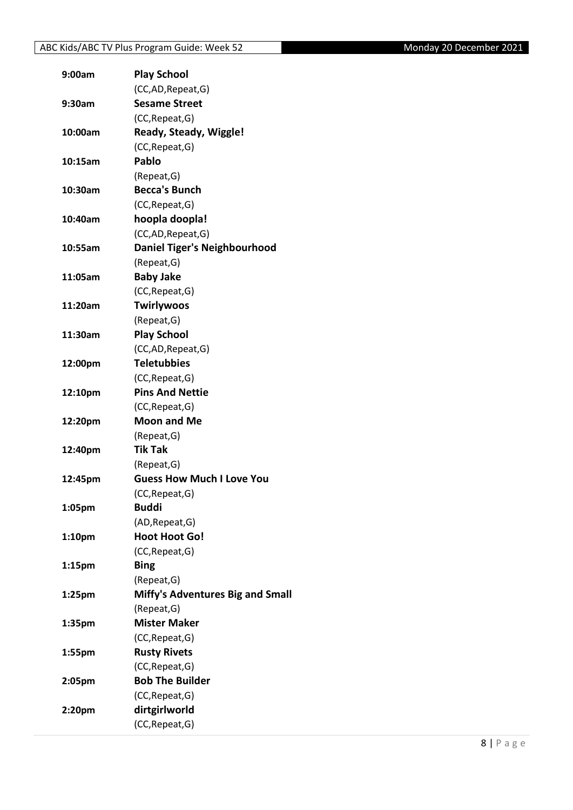| 9:00am             | <b>Play School</b>                      |
|--------------------|-----------------------------------------|
|                    | (CC,AD, Repeat, G)                      |
| 9:30am             | <b>Sesame Street</b>                    |
|                    | (CC, Repeat, G)                         |
| 10:00am            | Ready, Steady, Wiggle!                  |
|                    | (CC, Repeat, G)                         |
| 10:15am            | Pablo                                   |
|                    | (Repeat, G)                             |
| 10:30am            | <b>Becca's Bunch</b>                    |
|                    | (CC, Repeat, G)                         |
| 10:40am            | hoopla doopla!                          |
|                    | (CC,AD, Repeat, G)                      |
| 10:55am            | <b>Daniel Tiger's Neighbourhood</b>     |
|                    | (Repeat, G)                             |
| 11:05am            | <b>Baby Jake</b>                        |
|                    | (CC, Repeat, G)                         |
| 11:20am            | <b>Twirlywoos</b>                       |
|                    | (Repeat, G)                             |
| 11:30am            | <b>Play School</b>                      |
|                    | (CC,AD, Repeat, G)                      |
| 12:00pm            | <b>Teletubbies</b>                      |
|                    | (CC, Repeat, G)                         |
| 12:10pm            | <b>Pins And Nettie</b>                  |
|                    | (CC, Repeat, G)                         |
| 12:20pm            | <b>Moon and Me</b>                      |
|                    | (Repeat, G)                             |
| 12:40pm            | <b>Tik Tak</b>                          |
|                    | (Repeat, G)                             |
| 12:45pm            | <b>Guess How Much I Love You</b>        |
|                    | (CC, Repeat, G)                         |
| 1:05pm             | <b>Buddi</b>                            |
|                    | (AD, Repeat, G)                         |
| 1:10 <sub>pm</sub> | <b>Hoot Hoot Go!</b>                    |
|                    | (CC, Repeat, G)                         |
| 1:15 <sub>pm</sub> | <b>Bing</b>                             |
|                    | (Repeat, G)                             |
| 1:25 <sub>pm</sub> | <b>Miffy's Adventures Big and Small</b> |
|                    | (Repeat, G)                             |
| 1:35pm             | <b>Mister Maker</b>                     |
|                    | (CC, Repeat, G)                         |
| 1:55pm             | <b>Rusty Rivets</b>                     |
|                    | (CC, Repeat, G)                         |
| 2:05pm             | <b>Bob The Builder</b>                  |
|                    | (CC, Repeat, G)                         |
| 2:20pm             | dirtgirlworld                           |
|                    | (CC, Repeat, G)                         |
|                    |                                         |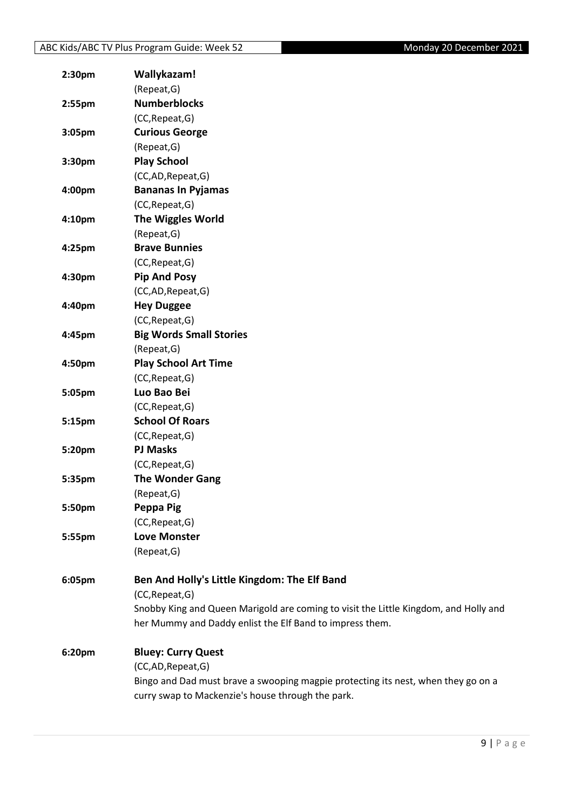| 2:30pm             | Wallykazam!                                                                          |
|--------------------|--------------------------------------------------------------------------------------|
|                    | (Repeat, G)                                                                          |
| 2:55pm             | <b>Numberblocks</b>                                                                  |
|                    | (CC, Repeat, G)                                                                      |
| 3:05pm             | <b>Curious George</b>                                                                |
|                    | (Repeat, G)                                                                          |
| 3:30pm             | <b>Play School</b>                                                                   |
|                    | (CC,AD,Repeat,G)                                                                     |
| 4:00pm             | <b>Bananas In Pyjamas</b>                                                            |
|                    | (CC, Repeat, G)                                                                      |
| 4:10 <sub>pm</sub> | <b>The Wiggles World</b>                                                             |
|                    | (Repeat, G)                                                                          |
| 4:25pm             | <b>Brave Bunnies</b>                                                                 |
|                    | (CC, Repeat, G)                                                                      |
| 4:30pm             | <b>Pip And Posy</b>                                                                  |
|                    | (CC,AD,Repeat,G)                                                                     |
| 4:40pm             | <b>Hey Duggee</b>                                                                    |
|                    | (CC, Repeat, G)                                                                      |
| 4:45pm             | <b>Big Words Small Stories</b>                                                       |
|                    | (Repeat, G)                                                                          |
| 4:50pm             | <b>Play School Art Time</b>                                                          |
|                    | (CC, Repeat, G)                                                                      |
| 5:05pm             | Luo Bao Bei                                                                          |
|                    | (CC, Repeat, G)                                                                      |
| 5:15pm             | <b>School Of Roars</b>                                                               |
|                    | (CC, Repeat, G)                                                                      |
| 5:20pm             | <b>PJ Masks</b>                                                                      |
|                    | (CC, Repeat, G)                                                                      |
| 5:35pm             | <b>The Wonder Gang</b>                                                               |
|                    | (Repeat, G)                                                                          |
| 5:50pm             | Peppa Pig                                                                            |
|                    | (CC, Repeat, G)                                                                      |
| 5:55pm             | <b>Love Monster</b>                                                                  |
|                    | (Repeat, G)                                                                          |
|                    |                                                                                      |
| 6:05pm             | Ben And Holly's Little Kingdom: The Elf Band                                         |
|                    | (CC, Repeat, G)                                                                      |
|                    | Snobby King and Queen Marigold are coming to visit the Little Kingdom, and Holly and |
|                    | her Mummy and Daddy enlist the Elf Band to impress them.                             |
| 6:20pm             | <b>Bluey: Curry Quest</b>                                                            |
|                    | (CC,AD,Repeat,G)                                                                     |
|                    | Bingo and Dad must brave a swooping magpie protecting its nest, when they go on a    |
|                    | curry swap to Mackenzie's house through the park.                                    |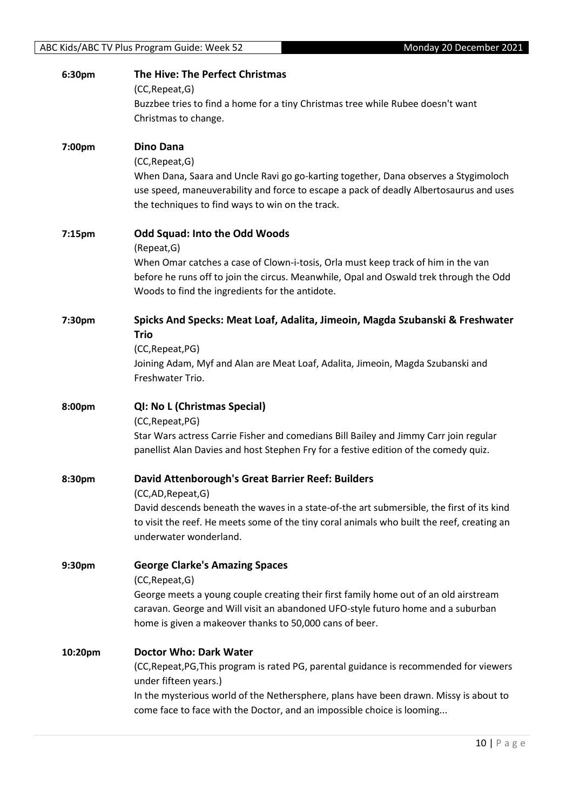| 6:30pm  | The Hive: The Perfect Christmas                                                            |
|---------|--------------------------------------------------------------------------------------------|
|         | (CC, Repeat, G)                                                                            |
|         | Buzzbee tries to find a home for a tiny Christmas tree while Rubee doesn't want            |
|         | Christmas to change.                                                                       |
| 7:00pm  | <b>Dino Dana</b>                                                                           |
|         | (CC, Repeat, G)                                                                            |
|         | When Dana, Saara and Uncle Ravi go go-karting together, Dana observes a Stygimoloch        |
|         |                                                                                            |
|         | use speed, maneuverability and force to escape a pack of deadly Albertosaurus and uses     |
|         | the techniques to find ways to win on the track.                                           |
| 7:15pm  | <b>Odd Squad: Into the Odd Woods</b>                                                       |
|         | (Repeat, G)                                                                                |
|         | When Omar catches a case of Clown-i-tosis, Orla must keep track of him in the van          |
|         | before he runs off to join the circus. Meanwhile, Opal and Oswald trek through the Odd     |
|         | Woods to find the ingredients for the antidote.                                            |
| 7:30pm  | Spicks And Specks: Meat Loaf, Adalita, Jimeoin, Magda Szubanski & Freshwater               |
|         | <b>Trio</b>                                                                                |
|         | (CC, Repeat, PG)                                                                           |
|         | Joining Adam, Myf and Alan are Meat Loaf, Adalita, Jimeoin, Magda Szubanski and            |
|         | Freshwater Trio.                                                                           |
|         |                                                                                            |
| 8:00pm  | QI: No L (Christmas Special)                                                               |
|         | (CC, Repeat, PG)                                                                           |
|         | Star Wars actress Carrie Fisher and comedians Bill Bailey and Jimmy Carr join regular      |
|         | panellist Alan Davies and host Stephen Fry for a festive edition of the comedy quiz.       |
| 8:30pm  | David Attenborough's Great Barrier Reef: Builders                                          |
|         | (CC,AD, Repeat, G)                                                                         |
|         | David descends beneath the waves in a state-of-the art submersible, the first of its kind  |
|         | to visit the reef. He meets some of the tiny coral animals who built the reef, creating an |
|         | underwater wonderland.                                                                     |
| 9:30pm  | <b>George Clarke's Amazing Spaces</b>                                                      |
|         | (CC, Repeat, G)                                                                            |
|         | George meets a young couple creating their first family home out of an old airstream       |
|         | caravan. George and Will visit an abandoned UFO-style futuro home and a suburban           |
|         | home is given a makeover thanks to 50,000 cans of beer.                                    |
|         |                                                                                            |
| 10:20pm | <b>Doctor Who: Dark Water</b>                                                              |
|         | (CC, Repeat, PG, This program is rated PG, parental guidance is recommended for viewers    |
|         | under fifteen years.)                                                                      |
|         | In the mysterious world of the Nethersphere, plans have been drawn. Missy is about to      |
|         | come face to face with the Doctor, and an impossible choice is looming                     |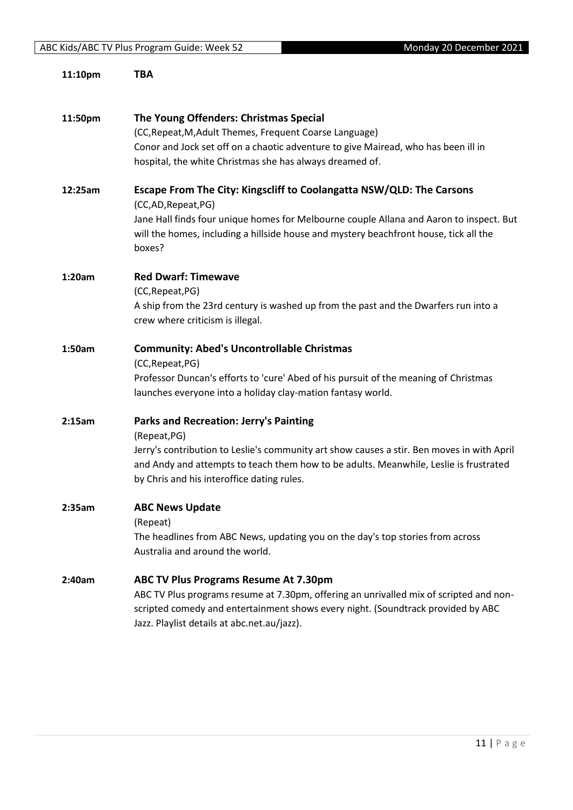| 11:10pm | TBA                                                                                                                                                                                                                                                                                                |
|---------|----------------------------------------------------------------------------------------------------------------------------------------------------------------------------------------------------------------------------------------------------------------------------------------------------|
| 11:50pm | The Young Offenders: Christmas Special<br>(CC, Repeat, M, Adult Themes, Frequent Coarse Language)<br>Conor and Jock set off on a chaotic adventure to give Mairead, who has been ill in<br>hospital, the white Christmas she has always dreamed of.                                                |
| 12:25am | Escape From The City: Kingscliff to Coolangatta NSW/QLD: The Carsons<br>(CC,AD,Repeat,PG)<br>Jane Hall finds four unique homes for Melbourne couple Allana and Aaron to inspect. But<br>will the homes, including a hillside house and mystery beachfront house, tick all the<br>boxes?            |
| 1:20am  | <b>Red Dwarf: Timewave</b><br>(CC, Repeat, PG)<br>A ship from the 23rd century is washed up from the past and the Dwarfers run into a<br>crew where criticism is illegal.                                                                                                                          |
| 1:50am  | <b>Community: Abed's Uncontrollable Christmas</b><br>(CC, Repeat, PG)<br>Professor Duncan's efforts to 'cure' Abed of his pursuit of the meaning of Christmas<br>launches everyone into a holiday clay-mation fantasy world.                                                                       |
| 2:15am  | <b>Parks and Recreation: Jerry's Painting</b><br>(Repeat, PG)<br>Jerry's contribution to Leslie's community art show causes a stir. Ben moves in with April<br>and Andy and attempts to teach them how to be adults. Meanwhile, Leslie is frustrated<br>by Chris and his interoffice dating rules. |
| 2:35am  | <b>ABC News Update</b><br>(Repeat)<br>The headlines from ABC News, updating you on the day's top stories from across<br>Australia and around the world.                                                                                                                                            |
| 2:40am  | <b>ABC TV Plus Programs Resume At 7.30pm</b><br>ABC TV Plus programs resume at 7.30pm, offering an unrivalled mix of scripted and non-<br>scripted comedy and entertainment shows every night. (Soundtrack provided by ABC<br>Jazz. Playlist details at abc.net.au/jazz).                          |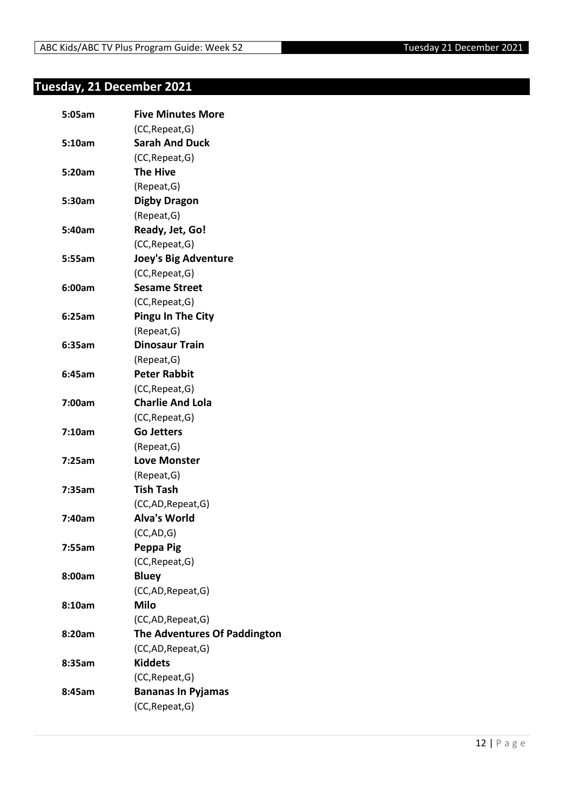## <span id="page-11-0"></span>**Tuesday, 21 December 2021**

| 5:05am | <b>Five Minutes More</b>            |
|--------|-------------------------------------|
|        | (CC, Repeat, G)                     |
| 5:10am | <b>Sarah And Duck</b>               |
|        | (CC, Repeat, G)                     |
| 5:20am | <b>The Hive</b>                     |
|        | (Repeat, G)                         |
| 5:30am | <b>Digby Dragon</b>                 |
|        | (Repeat, G)                         |
| 5:40am | Ready, Jet, Go!                     |
|        | (CC, Repeat, G)                     |
| 5:55am | <b>Joey's Big Adventure</b>         |
|        | (CC, Repeat, G)                     |
| 6:00am | <b>Sesame Street</b>                |
|        | (CC, Repeat, G)                     |
| 6:25am | <b>Pingu In The City</b>            |
|        | (Repeat, G)                         |
| 6:35am | <b>Dinosaur Train</b>               |
|        | (Repeat, G)                         |
| 6:45am | <b>Peter Rabbit</b>                 |
|        | (CC, Repeat, G)                     |
| 7:00am | <b>Charlie And Lola</b>             |
|        | (CC, Repeat, G)                     |
| 7:10am | <b>Go Jetters</b>                   |
|        | (Repeat, G)                         |
| 7:25am | <b>Love Monster</b>                 |
|        | (Repeat, G)                         |
| 7:35am | <b>Tish Tash</b>                    |
|        | (CC,AD, Repeat, G)                  |
| 7:40am | <b>Alva's World</b>                 |
|        | (CC,AD,G)                           |
| 7:55am | Peppa Pig                           |
|        | (CC, Repeat, G)                     |
| 8:00am | <b>Bluey</b>                        |
|        | (CC,AD, Repeat, G)                  |
| 8:10am | <b>Milo</b>                         |
|        | (CC,AD, Repeat, G)                  |
| 8:20am | <b>The Adventures Of Paddington</b> |
|        | (CC,AD, Repeat, G)                  |
| 8:35am | <b>Kiddets</b>                      |
|        | (CC, Repeat, G)                     |
| 8:45am | <b>Bananas In Pyjamas</b>           |
|        | (CC, Repeat, G)                     |
|        |                                     |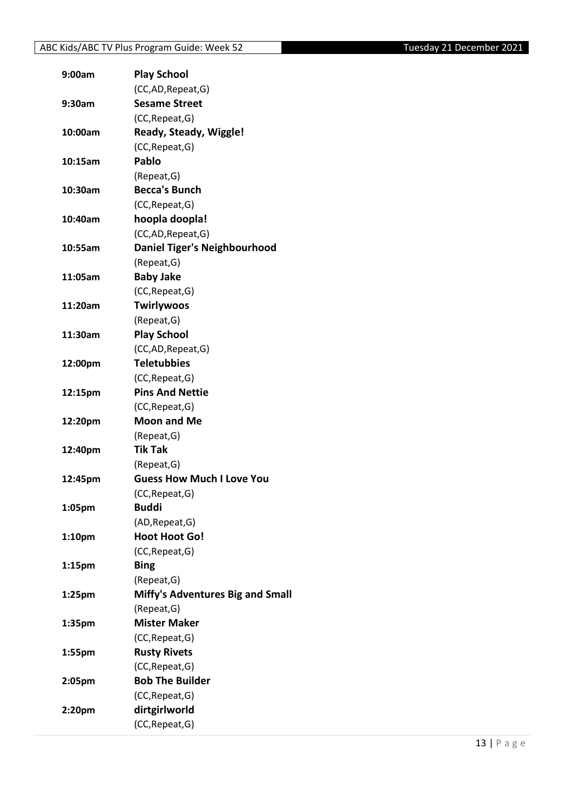| 9:00am             | <b>Play School</b>                        |
|--------------------|-------------------------------------------|
|                    | (CC,AD, Repeat, G)                        |
| 9:30am             | <b>Sesame Street</b>                      |
|                    | (CC, Repeat, G)                           |
| 10:00am            | Ready, Steady, Wiggle!                    |
|                    | (CC, Repeat, G)                           |
| 10:15am            | Pablo                                     |
|                    | (Repeat, G)                               |
| 10:30am            | <b>Becca's Bunch</b>                      |
|                    | (CC, Repeat, G)                           |
| 10:40am            | hoopla doopla!                            |
|                    | (CC,AD, Repeat, G)                        |
| 10:55am            | <b>Daniel Tiger's Neighbourhood</b>       |
|                    | (Repeat, G)                               |
| 11:05am            | <b>Baby Jake</b>                          |
|                    | (CC, Repeat, G)                           |
| 11:20am            | <b>Twirlywoos</b>                         |
|                    | (Repeat, G)                               |
| 11:30am            | <b>Play School</b>                        |
|                    | (CC,AD, Repeat, G)                        |
| 12:00pm            | <b>Teletubbies</b>                        |
|                    | (CC, Repeat, G)                           |
| 12:15pm            | <b>Pins And Nettie</b>                    |
|                    | (CC, Repeat, G)                           |
| 12:20pm            | <b>Moon and Me</b>                        |
|                    | (Repeat, G)                               |
| 12:40pm            | <b>Tik Tak</b>                            |
|                    | (Repeat, G)                               |
| 12:45pm            | <b>Guess How Much I Love You</b>          |
|                    | (CC, Repeat, G)                           |
| 1:05pm             | <b>Buddi</b>                              |
|                    | (AD, Repeat, G)                           |
| 1:10 <sub>pm</sub> | <b>Hoot Hoot Go!</b>                      |
|                    | (CC, Repeat, G)                           |
| 1:15 <sub>pm</sub> | <b>Bing</b>                               |
|                    | (Repeat, G)                               |
| 1:25 <sub>pm</sub> | <b>Miffy's Adventures Big and Small</b>   |
|                    | (Repeat, G)                               |
| 1:35pm             | <b>Mister Maker</b>                       |
|                    | (CC, Repeat, G)                           |
| 1:55pm             | <b>Rusty Rivets</b>                       |
|                    |                                           |
|                    | (CC, Repeat, G)<br><b>Bob The Builder</b> |
| 2:05pm             |                                           |
|                    | (CC, Repeat, G)                           |
| 2:20pm             | dirtgirlworld                             |
|                    | (CC, Repeat, G)                           |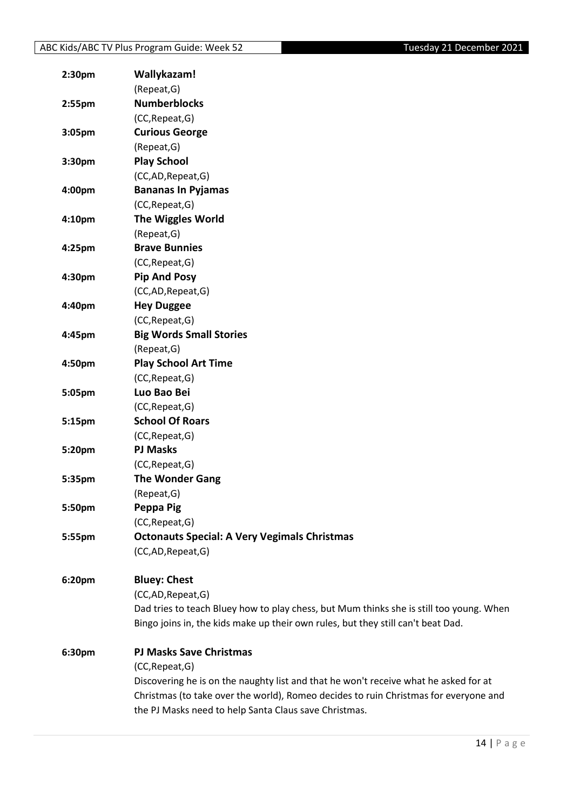| 2:30pm | Wallykazam!                                                                             |
|--------|-----------------------------------------------------------------------------------------|
|        | (Repeat, G)                                                                             |
| 2:55pm | <b>Numberblocks</b>                                                                     |
|        | (CC, Repeat, G)                                                                         |
| 3:05pm | <b>Curious George</b>                                                                   |
|        | (Repeat, G)                                                                             |
| 3:30pm | <b>Play School</b>                                                                      |
|        | (CC,AD,Repeat,G)                                                                        |
| 4:00pm | <b>Bananas In Pyjamas</b>                                                               |
|        | (CC, Repeat, G)                                                                         |
| 4:10pm | <b>The Wiggles World</b>                                                                |
|        | (Repeat, G)                                                                             |
| 4:25pm | <b>Brave Bunnies</b>                                                                    |
|        | (CC, Repeat, G)                                                                         |
| 4:30pm | <b>Pip And Posy</b>                                                                     |
|        | (CC,AD, Repeat, G)                                                                      |
| 4:40pm | <b>Hey Duggee</b>                                                                       |
|        | (CC, Repeat, G)                                                                         |
| 4:45pm | <b>Big Words Small Stories</b>                                                          |
|        | (Repeat, G)                                                                             |
| 4:50pm | <b>Play School Art Time</b>                                                             |
|        | (CC, Repeat, G)                                                                         |
| 5:05pm | Luo Bao Bei                                                                             |
|        | (CC, Repeat, G)                                                                         |
| 5:15pm | <b>School Of Roars</b>                                                                  |
|        | (CC, Repeat, G)                                                                         |
| 5:20pm | <b>PJ Masks</b>                                                                         |
|        | (CC, Repeat, G)                                                                         |
| 5:35pm | <b>The Wonder Gang</b>                                                                  |
|        | (Repeat, G)                                                                             |
| 5:50pm | Peppa Pig                                                                               |
|        | (CC, Repeat, G)                                                                         |
| 5:55pm | <b>Octonauts Special: A Very Vegimals Christmas</b>                                     |
|        | (CC,AD,Repeat,G)                                                                        |
| 6:20pm | <b>Bluey: Chest</b>                                                                     |
|        | (CC,AD,Repeat,G)                                                                        |
|        | Dad tries to teach Bluey how to play chess, but Mum thinks she is still too young. When |
|        | Bingo joins in, the kids make up their own rules, but they still can't beat Dad.        |
| 6:30pm | <b>PJ Masks Save Christmas</b>                                                          |
|        | (CC, Repeat, G)                                                                         |
|        | Discovering he is on the naughty list and that he won't receive what he asked for at    |
|        | Christmas (to take over the world), Romeo decides to ruin Christmas for everyone and    |
|        | the PJ Masks need to help Santa Claus save Christmas.                                   |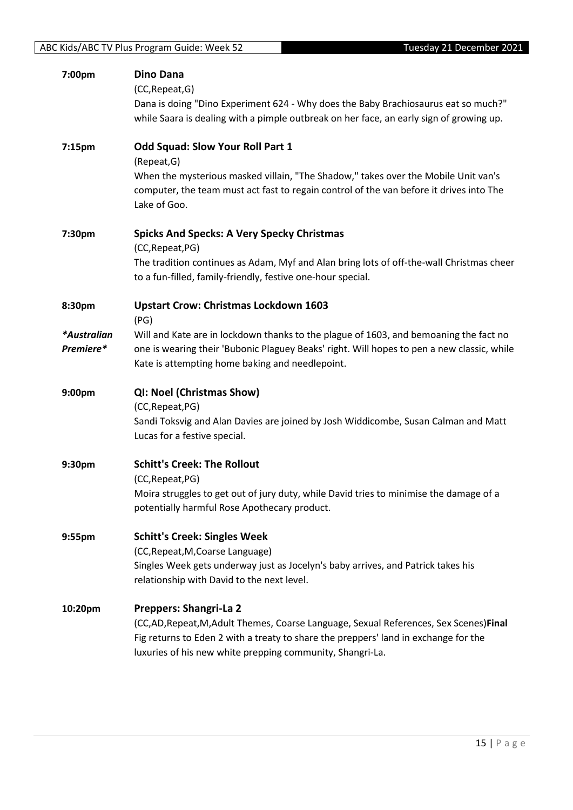| 7:00pm                   | <b>Dino Dana</b><br>(CC, Repeat, G)<br>Dana is doing "Dino Experiment 624 - Why does the Baby Brachiosaurus eat so much?"<br>while Saara is dealing with a pimple outbreak on her face, an early sign of growing up.                                                 |
|--------------------------|----------------------------------------------------------------------------------------------------------------------------------------------------------------------------------------------------------------------------------------------------------------------|
| 7:15pm                   | <b>Odd Squad: Slow Your Roll Part 1</b><br>(Repeat, G)<br>When the mysterious masked villain, "The Shadow," takes over the Mobile Unit van's<br>computer, the team must act fast to regain control of the van before it drives into The<br>Lake of Goo.              |
| 7:30pm                   | <b>Spicks And Specks: A Very Specky Christmas</b><br>(CC, Repeat, PG)<br>The tradition continues as Adam, Myf and Alan bring lots of off-the-wall Christmas cheer<br>to a fun-filled, family-friendly, festive one-hour special.                                     |
| 8:30pm                   | <b>Upstart Crow: Christmas Lockdown 1603</b><br>(PG)                                                                                                                                                                                                                 |
| *Australian<br>Premiere* | Will and Kate are in lockdown thanks to the plague of 1603, and bemoaning the fact no<br>one is wearing their 'Bubonic Plaguey Beaks' right. Will hopes to pen a new classic, while<br>Kate is attempting home baking and needlepoint.                               |
| 9:00pm                   | QI: Noel (Christmas Show)<br>(CC, Repeat, PG)<br>Sandi Toksvig and Alan Davies are joined by Josh Widdicombe, Susan Calman and Matt<br>Lucas for a festive special.                                                                                                  |
| 9:30pm                   | <b>Schitt's Creek: The Rollout</b><br>(CC, Repeat, PG)<br>Moira struggles to get out of jury duty, while David tries to minimise the damage of a<br>potentially harmful Rose Apothecary product.                                                                     |
| 9:55pm                   | <b>Schitt's Creek: Singles Week</b><br>(CC, Repeat, M, Coarse Language)<br>Singles Week gets underway just as Jocelyn's baby arrives, and Patrick takes his<br>relationship with David to the next level.                                                            |
| 10:20pm                  | Preppers: Shangri-La 2<br>(CC,AD, Repeat, M, Adult Themes, Coarse Language, Sexual References, Sex Scenes) Final<br>Fig returns to Eden 2 with a treaty to share the preppers' land in exchange for the<br>luxuries of his new white prepping community, Shangri-La. |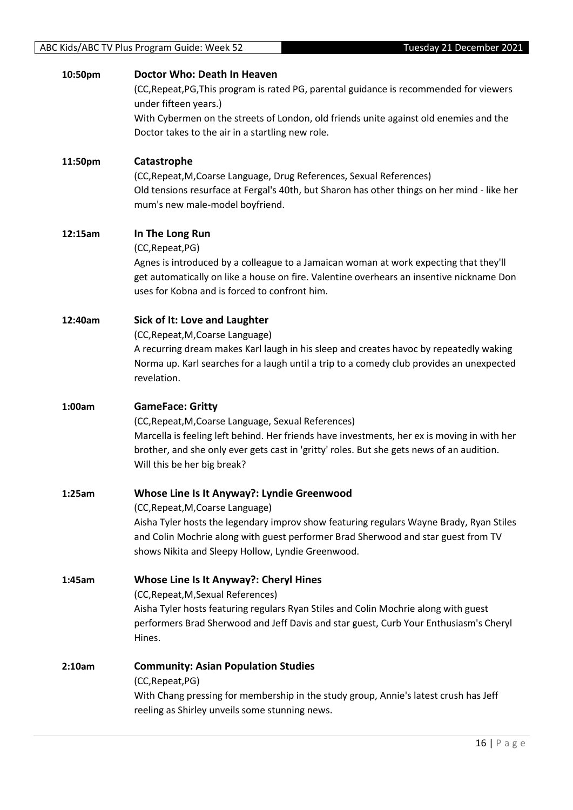| 10:50pm | Doctor Who: Death In Heaven |
|---------|-----------------------------|
|---------|-----------------------------|

(CC,Repeat,PG,This program is rated PG, parental guidance is recommended for viewers under fifteen years.)

With Cybermen on the streets of London, old friends unite against old enemies and the Doctor takes to the air in a startling new role.

#### **11:50pm Catastrophe**

(CC,Repeat,M,Coarse Language, Drug References, Sexual References) Old tensions resurface at Fergal's 40th, but Sharon has other things on her mind - like her mum's new male-model boyfriend.

#### **12:15am In The Long Run**

(CC,Repeat,PG)

Agnes is introduced by a colleague to a Jamaican woman at work expecting that they'll get automatically on like a house on fire. Valentine overhears an insentive nickname Don uses for Kobna and is forced to confront him.

#### **12:40am Sick of It: Love and Laughter**

(CC,Repeat,M,Coarse Language)

A recurring dream makes Karl laugh in his sleep and creates havoc by repeatedly waking Norma up. Karl searches for a laugh until a trip to a comedy club provides an unexpected revelation.

#### **1:00am GameFace: Gritty**

(CC,Repeat,M,Coarse Language, Sexual References) Marcella is feeling left behind. Her friends have investments, her ex is moving in with her brother, and she only ever gets cast in 'gritty' roles. But she gets news of an audition. Will this be her big break?

#### **1:25am Whose Line Is It Anyway?: Lyndie Greenwood**

(CC,Repeat,M,Coarse Language)

Aisha Tyler hosts the legendary improv show featuring regulars Wayne Brady, Ryan Stiles and Colin Mochrie along with guest performer Brad Sherwood and star guest from TV shows Nikita and Sleepy Hollow, Lyndie Greenwood.

#### **1:45am Whose Line Is It Anyway?: Cheryl Hines**

(CC,Repeat,M,Sexual References)

Aisha Tyler hosts featuring regulars Ryan Stiles and Colin Mochrie along with guest performers Brad Sherwood and Jeff Davis and star guest, Curb Your Enthusiasm's Cheryl Hines.

### **2:10am Community: Asian Population Studies** (CC,Repeat,PG) With Chang pressing for membership in the study group, Annie's latest crush has Jeff reeling as Shirley unveils some stunning news.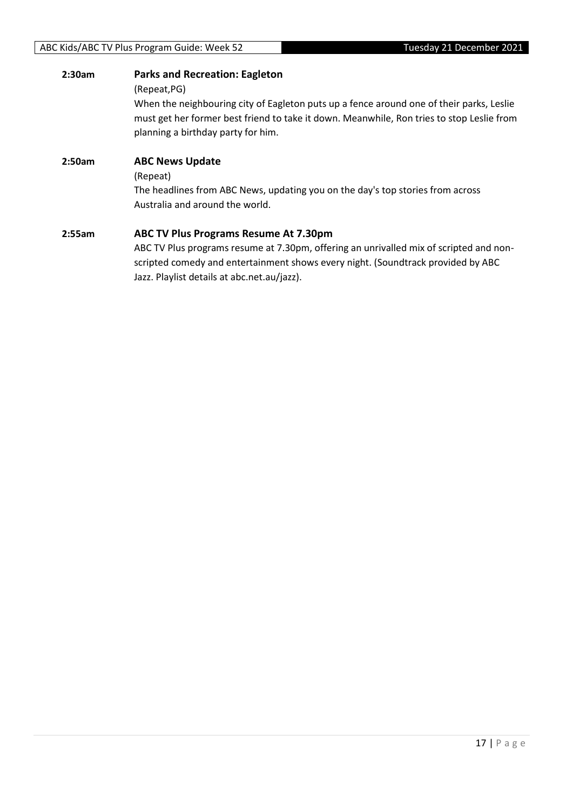## **2:30am Parks and Recreation: Eagleton** (Repeat,PG) When the neighbouring city of Eagleton puts up a fence around one of their parks, Leslie must get her former best friend to take it down. Meanwhile, Ron tries to stop Leslie from planning a birthday party for him. **2:50am ABC News Update**

(Repeat)

The headlines from ABC News, updating you on the day's top stories from across Australia and around the world.

## **2:55am ABC TV Plus Programs Resume At 7.30pm**

ABC TV Plus programs resume at 7.30pm, offering an unrivalled mix of scripted and nonscripted comedy and entertainment shows every night. (Soundtrack provided by ABC Jazz. Playlist details at abc.net.au/jazz).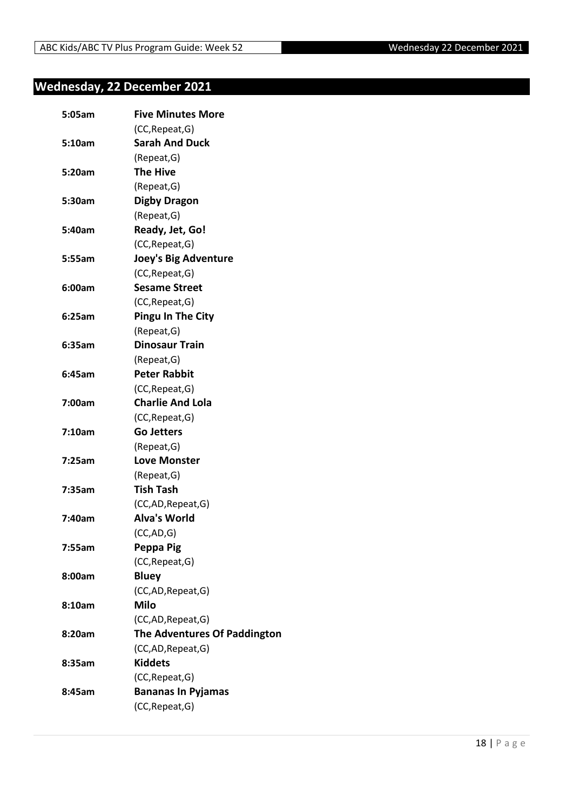## <span id="page-17-0"></span>**Wednesday, 22 December 2021**

| 5:05am | <b>Five Minutes More</b>            |
|--------|-------------------------------------|
|        | (CC, Repeat, G)                     |
| 5:10am | <b>Sarah And Duck</b>               |
|        | (Repeat, G)                         |
| 5:20am | <b>The Hive</b>                     |
|        | (Repeat, G)                         |
| 5:30am | <b>Digby Dragon</b>                 |
|        | (Repeat, G)                         |
| 5:40am | Ready, Jet, Go!                     |
|        | (CC, Repeat, G)                     |
| 5:55am | <b>Joey's Big Adventure</b>         |
|        | (CC, Repeat, G)                     |
| 6:00am | <b>Sesame Street</b>                |
|        | (CC, Repeat, G)                     |
| 6:25am | <b>Pingu In The City</b>            |
|        | (Repeat, G)                         |
| 6:35am | <b>Dinosaur Train</b>               |
|        | (Repeat, G)                         |
| 6:45am | <b>Peter Rabbit</b>                 |
|        | (CC, Repeat, G)                     |
| 7:00am | <b>Charlie And Lola</b>             |
|        | (CC, Repeat, G)                     |
| 7:10am | <b>Go Jetters</b>                   |
|        | (Repeat, G)                         |
| 7:25am | <b>Love Monster</b>                 |
|        | (Repeat, G)                         |
| 7:35am | <b>Tish Tash</b>                    |
|        | (CC,AD, Repeat, G)                  |
| 7:40am | <b>Alva's World</b>                 |
|        | (CC, AD, G)                         |
| 7:55am | Peppa Pig                           |
|        | (CC, Repeat, G)                     |
| 8:00am | <b>Bluey</b>                        |
|        | (CC,AD, Repeat, G)                  |
| 8:10am | <b>Milo</b>                         |
|        | (CC,AD, Repeat, G)                  |
| 8:20am | <b>The Adventures Of Paddington</b> |
|        | (CC,AD, Repeat, G)                  |
| 8:35am | <b>Kiddets</b>                      |
|        | (CC, Repeat, G)                     |
| 8:45am | <b>Bananas In Pyjamas</b>           |
|        | (CC, Repeat, G)                     |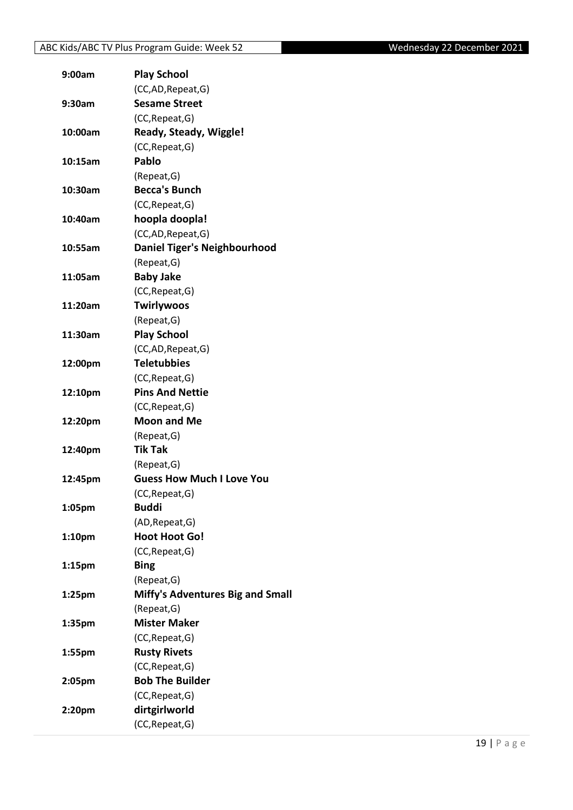| 9:00am             | <b>Play School</b>                      |
|--------------------|-----------------------------------------|
|                    | (CC,AD, Repeat, G)                      |
| 9:30am             | <b>Sesame Street</b>                    |
|                    | (CC, Repeat, G)                         |
| 10:00am            | Ready, Steady, Wiggle!                  |
|                    | (CC, Repeat, G)                         |
| 10:15am            | Pablo                                   |
|                    | (Repeat, G)                             |
| 10:30am            | <b>Becca's Bunch</b>                    |
|                    | (CC, Repeat, G)                         |
| 10:40am            | hoopla doopla!                          |
|                    | (CC,AD, Repeat, G)                      |
| 10:55am            | <b>Daniel Tiger's Neighbourhood</b>     |
|                    | (Repeat, G)                             |
| 11:05am            | <b>Baby Jake</b>                        |
|                    | (CC, Repeat, G)                         |
| 11:20am            | <b>Twirlywoos</b>                       |
|                    | (Repeat, G)                             |
| 11:30am            | <b>Play School</b>                      |
|                    | (CC,AD, Repeat, G)                      |
| 12:00pm            | <b>Teletubbies</b>                      |
|                    | (CC, Repeat, G)                         |
| 12:10pm            | <b>Pins And Nettie</b>                  |
|                    | (CC, Repeat, G)                         |
| 12:20pm            | <b>Moon and Me</b>                      |
|                    | (Repeat, G)                             |
| 12:40pm            | <b>Tik Tak</b>                          |
|                    | (Repeat, G)                             |
| 12:45pm            | <b>Guess How Much I Love You</b>        |
|                    | (CC, Repeat, G)                         |
|                    | <b>Buddi</b>                            |
| 1:05pm             |                                         |
|                    | (AD, Repeat, G)                         |
| 1:10 <sub>pm</sub> | <b>Hoot Hoot Go!</b>                    |
|                    | (CC, Repeat, G)                         |
| 1:15 <sub>pm</sub> | <b>Bing</b>                             |
|                    | (Repeat, G)                             |
| 1:25 <sub>pm</sub> | <b>Miffy's Adventures Big and Small</b> |
|                    | (Repeat, G)                             |
| 1:35pm             | <b>Mister Maker</b>                     |
|                    | (CC, Repeat, G)                         |
| 1:55pm             | <b>Rusty Rivets</b>                     |
|                    | (CC, Repeat, G)                         |
| 2:05pm             | <b>Bob The Builder</b>                  |
|                    | (CC, Repeat, G)                         |
| 2:20pm             | dirtgirlworld                           |
|                    | (CC, Repeat, G)                         |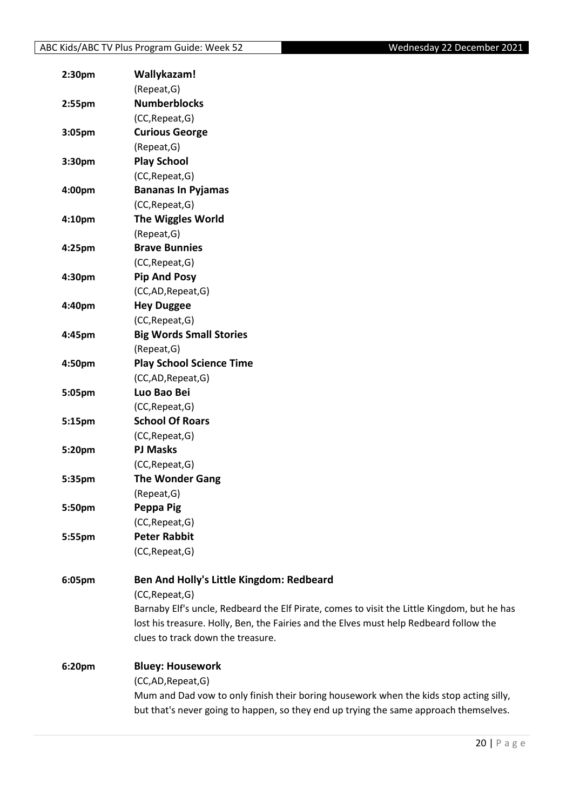| 2:30pm | Wallykazam!                                                                                 |
|--------|---------------------------------------------------------------------------------------------|
|        | (Repeat, G)                                                                                 |
| 2:55pm | <b>Numberblocks</b>                                                                         |
|        | (CC, Repeat, G)                                                                             |
| 3:05pm | <b>Curious George</b>                                                                       |
|        | (Repeat, G)                                                                                 |
| 3:30pm | <b>Play School</b>                                                                          |
|        | (CC, Repeat, G)                                                                             |
| 4:00pm | <b>Bananas In Pyjamas</b>                                                                   |
|        | (CC, Repeat, G)                                                                             |
| 4:10pm | <b>The Wiggles World</b>                                                                    |
|        | (Repeat, G)                                                                                 |
| 4:25pm | <b>Brave Bunnies</b>                                                                        |
|        | (CC, Repeat, G)                                                                             |
| 4:30pm | <b>Pip And Posy</b>                                                                         |
|        | (CC,AD,Repeat,G)                                                                            |
| 4:40pm | <b>Hey Duggee</b>                                                                           |
|        | (CC, Repeat, G)                                                                             |
| 4:45pm | <b>Big Words Small Stories</b>                                                              |
|        | (Repeat, G)                                                                                 |
| 4:50pm | <b>Play School Science Time</b>                                                             |
|        | (CC,AD,Repeat,G)                                                                            |
| 5:05pm | Luo Bao Bei                                                                                 |
|        | (CC, Repeat, G)                                                                             |
| 5:15pm | <b>School Of Roars</b>                                                                      |
|        | (CC, Repeat, G)                                                                             |
| 5:20pm | <b>PJ Masks</b>                                                                             |
|        | (CC, Repeat, G)                                                                             |
| 5:35pm | <b>The Wonder Gang</b>                                                                      |
|        | (Repeat, G)                                                                                 |
| 5:50pm | Peppa Pig                                                                                   |
|        | (CC, Repeat, G)                                                                             |
| 5:55pm | <b>Peter Rabbit</b>                                                                         |
|        | (CC, Repeat, G)                                                                             |
| 6:05pm | Ben And Holly's Little Kingdom: Redbeard                                                    |
|        | (CC, Repeat, G)                                                                             |
|        | Barnaby Elf's uncle, Redbeard the Elf Pirate, comes to visit the Little Kingdom, but he has |
|        | lost his treasure. Holly, Ben, the Fairies and the Elves must help Redbeard follow the      |
|        | clues to track down the treasure.                                                           |
| 6:20pm | <b>Bluey: Housework</b>                                                                     |
|        | (CC,AD,Repeat,G)                                                                            |
|        | Mum and Dad vow to only finish their boring housework when the kids stop acting silly,      |
|        | but that's never going to happen, so they end up trying the same approach themselves.       |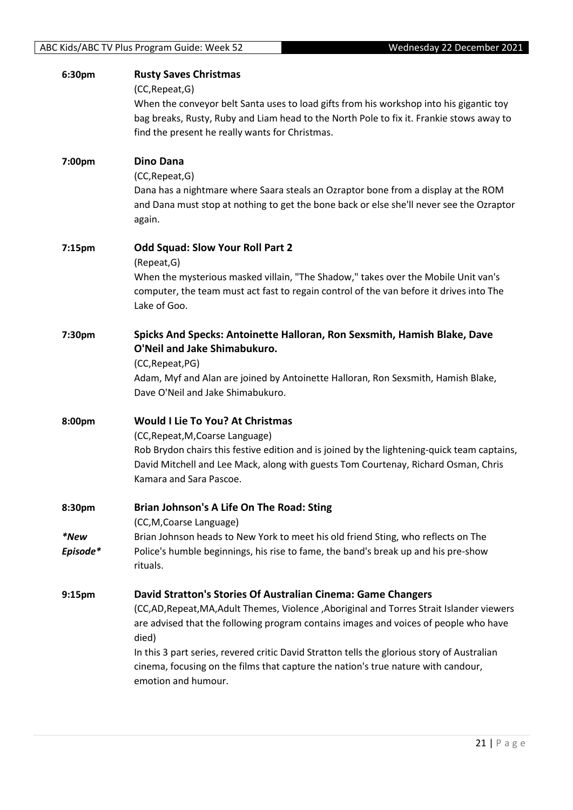| 6:30pm           | <b>Rusty Saves Christmas</b><br>(CC, Repeat, G)<br>When the conveyor belt Santa uses to load gifts from his workshop into his gigantic toy<br>bag breaks, Rusty, Ruby and Liam head to the North Pole to fix it. Frankie stows away to<br>find the present he really wants for Christmas.                                                                                                                                                                         |
|------------------|-------------------------------------------------------------------------------------------------------------------------------------------------------------------------------------------------------------------------------------------------------------------------------------------------------------------------------------------------------------------------------------------------------------------------------------------------------------------|
| 7:00pm           | <b>Dino Dana</b><br>(CC, Repeat, G)<br>Dana has a nightmare where Saara steals an Ozraptor bone from a display at the ROM<br>and Dana must stop at nothing to get the bone back or else she'll never see the Ozraptor<br>again.                                                                                                                                                                                                                                   |
| 7:15pm           | <b>Odd Squad: Slow Your Roll Part 2</b><br>(Repeat, G)<br>When the mysterious masked villain, "The Shadow," takes over the Mobile Unit van's<br>computer, the team must act fast to regain control of the van before it drives into The<br>Lake of Goo.                                                                                                                                                                                                           |
| 7:30pm           | Spicks And Specks: Antoinette Halloran, Ron Sexsmith, Hamish Blake, Dave<br>O'Neil and Jake Shimabukuro.<br>(CC, Repeat, PG)<br>Adam, Myf and Alan are joined by Antoinette Halloran, Ron Sexsmith, Hamish Blake,<br>Dave O'Neil and Jake Shimabukuro.                                                                                                                                                                                                            |
| 8:00pm           | <b>Would I Lie To You? At Christmas</b><br>(CC, Repeat, M, Coarse Language)<br>Rob Brydon chairs this festive edition and is joined by the lightening-quick team captains,<br>David Mitchell and Lee Mack, along with guests Tom Courtenay, Richard Osman, Chris<br>Kamara and Sara Pascoe.                                                                                                                                                                       |
| 8:30pm           | Brian Johnson's A Life On The Road: Sting                                                                                                                                                                                                                                                                                                                                                                                                                         |
| *New<br>Episode* | (CC, M, Coarse Language)<br>Brian Johnson heads to New York to meet his old friend Sting, who reflects on The<br>Police's humble beginnings, his rise to fame, the band's break up and his pre-show<br>rituals.                                                                                                                                                                                                                                                   |
| 9:15pm           | David Stratton's Stories Of Australian Cinema: Game Changers<br>(CC,AD,Repeat,MA,Adult Themes, Violence,Aboriginal and Torres Strait Islander viewers<br>are advised that the following program contains images and voices of people who have<br>died)<br>In this 3 part series, revered critic David Stratton tells the glorious story of Australian<br>cinema, focusing on the films that capture the nation's true nature with candour,<br>emotion and humour. |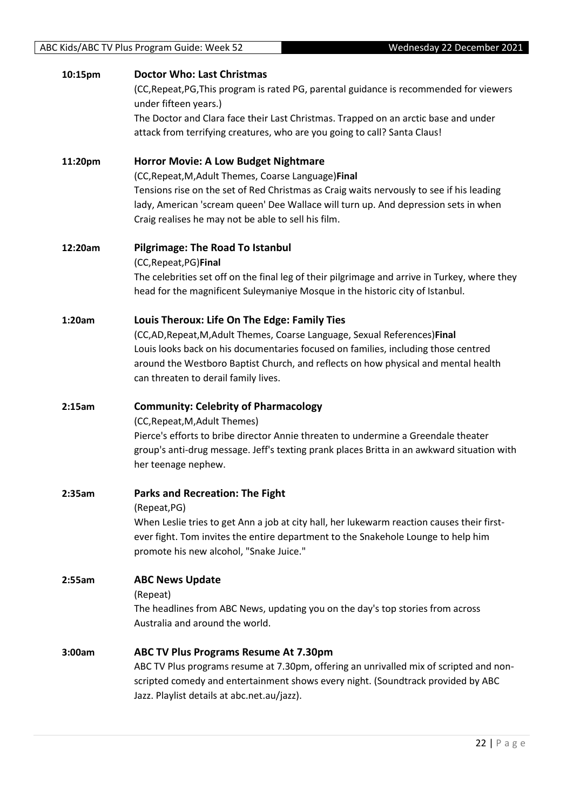| 10:15pm | <b>Doctor Who: Last Christmas</b>                                                             |
|---------|-----------------------------------------------------------------------------------------------|
|         | (CC, Repeat, PG, This program is rated PG, parental guidance is recommended for viewers       |
|         | under fifteen years.)                                                                         |
|         | The Doctor and Clara face their Last Christmas. Trapped on an arctic base and under           |
|         | attack from terrifying creatures, who are you going to call? Santa Claus!                     |
| 11:20pm | <b>Horror Movie: A Low Budget Nightmare</b>                                                   |
|         | (CC, Repeat, M, Adult Themes, Coarse Language) Final                                          |
|         | Tensions rise on the set of Red Christmas as Craig waits nervously to see if his leading      |
|         | lady, American 'scream queen' Dee Wallace will turn up. And depression sets in when           |
|         | Craig realises he may not be able to sell his film.                                           |
| 12:20am | <b>Pilgrimage: The Road To Istanbul</b>                                                       |
|         | (CC, Repeat, PG) Final                                                                        |
|         | The celebrities set off on the final leg of their pilgrimage and arrive in Turkey, where they |
|         | head for the magnificent Suleymaniye Mosque in the historic city of Istanbul.                 |
| 1:20am  | Louis Theroux: Life On The Edge: Family Ties                                                  |
|         | (CC,AD, Repeat, M, Adult Themes, Coarse Language, Sexual References) Final                    |
|         | Louis looks back on his documentaries focused on families, including those centred            |
|         | around the Westboro Baptist Church, and reflects on how physical and mental health            |
|         | can threaten to derail family lives.                                                          |
| 2:15am  | <b>Community: Celebrity of Pharmacology</b>                                                   |
|         | (CC, Repeat, M, Adult Themes)                                                                 |
|         | Pierce's efforts to bribe director Annie threaten to undermine a Greendale theater            |
|         | group's anti-drug message. Jeff's texting prank places Britta in an awkward situation with    |
|         | her teenage nephew.                                                                           |
| 2:35am  | <b>Parks and Recreation: The Fight</b>                                                        |
|         | (Repeat, PG)                                                                                  |
|         | When Leslie tries to get Ann a job at city hall, her lukewarm reaction causes their first-    |
|         | ever fight. Tom invites the entire department to the Snakehole Lounge to help him             |
|         | promote his new alcohol, "Snake Juice."                                                       |
| 2:55am  | <b>ABC News Update</b>                                                                        |
|         | (Repeat)                                                                                      |
|         | The headlines from ABC News, updating you on the day's top stories from across                |
|         | Australia and around the world.                                                               |
| 3:00am  | <b>ABC TV Plus Programs Resume At 7.30pm</b>                                                  |
|         | ABC TV Plus programs resume at 7.30pm, offering an unrivalled mix of scripted and non-        |
|         | scripted comedy and entertainment shows every night. (Soundtrack provided by ABC              |
|         | Jazz. Playlist details at abc.net.au/jazz).                                                   |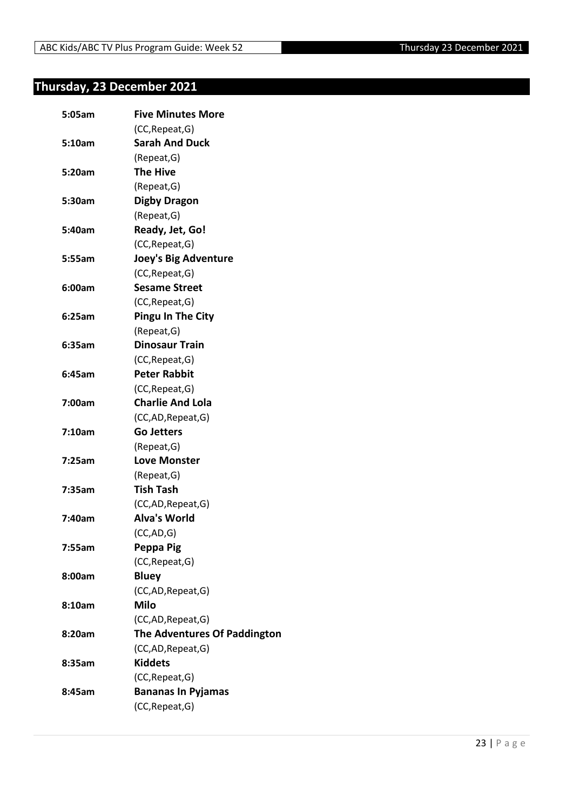## <span id="page-22-0"></span>**Thursday, 23 December 2021**

| 5:05am | <b>Five Minutes More</b>            |
|--------|-------------------------------------|
|        | (CC, Repeat, G)                     |
| 5:10am | <b>Sarah And Duck</b>               |
|        | (Repeat, G)                         |
| 5:20am | <b>The Hive</b>                     |
|        | (Repeat, G)                         |
| 5:30am | <b>Digby Dragon</b>                 |
|        | (Repeat, G)                         |
| 5:40am | Ready, Jet, Go!                     |
|        | (CC, Repeat, G)                     |
| 5:55am | <b>Joey's Big Adventure</b>         |
|        | (CC, Repeat, G)                     |
| 6:00am | <b>Sesame Street</b>                |
|        | (CC, Repeat, G)                     |
| 6:25am | <b>Pingu In The City</b>            |
|        | (Repeat, G)                         |
| 6:35am | <b>Dinosaur Train</b>               |
|        | (CC, Repeat, G)                     |
| 6:45am | <b>Peter Rabbit</b>                 |
|        | (CC, Repeat, G)                     |
| 7:00am | <b>Charlie And Lola</b>             |
|        | (CC,AD, Repeat, G)                  |
| 7:10am | <b>Go Jetters</b>                   |
|        | (Repeat, G)                         |
| 7:25am | <b>Love Monster</b>                 |
|        | (Repeat, G)                         |
| 7:35am | <b>Tish Tash</b>                    |
|        | (CC,AD, Repeat, G)                  |
| 7:40am | <b>Alva's World</b>                 |
|        | (CC,AD,G)                           |
| 7:55am | Peppa Pig                           |
|        | (CC, Repeat, G)                     |
| 8:00am | <b>Bluey</b>                        |
|        | (CC,AD, Repeat, G)                  |
| 8:10am | <b>Milo</b>                         |
|        | (CC,AD, Repeat, G)                  |
| 8:20am | <b>The Adventures Of Paddington</b> |
|        | (CC,AD, Repeat, G)                  |
| 8:35am | <b>Kiddets</b>                      |
|        | (CC, Repeat, G)                     |
| 8:45am | <b>Bananas In Pyjamas</b>           |
|        | (CC, Repeat, G)                     |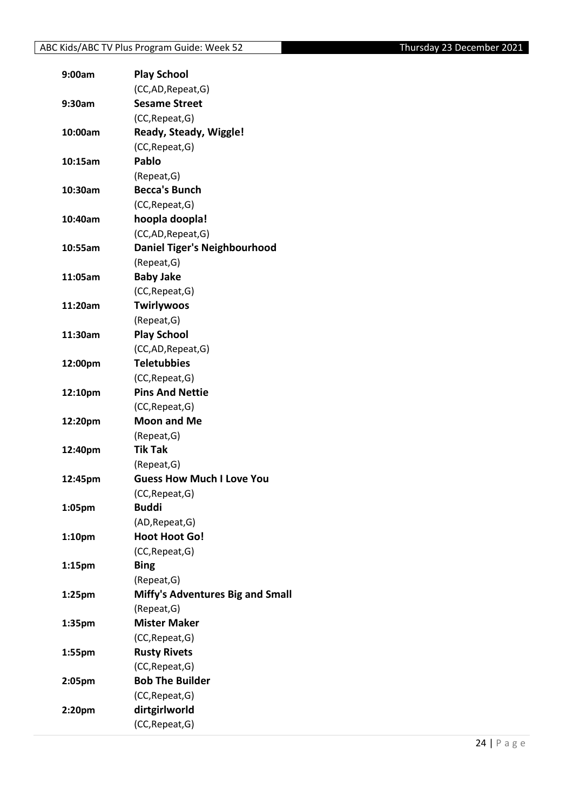| 9:00am             | <b>Play School</b>                  |
|--------------------|-------------------------------------|
|                    | (CC,AD, Repeat, G)                  |
| 9:30am             | <b>Sesame Street</b>                |
|                    | (CC, Repeat, G)                     |
| 10:00am            | Ready, Steady, Wiggle!              |
|                    | (CC, Repeat, G)                     |
| 10:15am            | Pablo                               |
|                    | (Repeat, G)                         |
| 10:30am            | <b>Becca's Bunch</b>                |
|                    | (CC, Repeat, G)                     |
| 10:40am            | hoopla doopla!                      |
|                    | (CC,AD, Repeat, G)                  |
| 10:55am            | <b>Daniel Tiger's Neighbourhood</b> |
|                    | (Repeat, G)                         |
| 11:05am            | <b>Baby Jake</b>                    |
|                    | (CC, Repeat, G)                     |
| 11:20am            | <b>Twirlywoos</b>                   |
|                    | (Repeat, G)                         |
| 11:30am            | <b>Play School</b>                  |
|                    | (CC,AD, Repeat, G)                  |
| 12:00pm            | <b>Teletubbies</b>                  |
|                    | (CC, Repeat, G)                     |
| 12:10pm            | <b>Pins And Nettie</b>              |
|                    | (CC, Repeat, G)                     |
| 12:20pm            | <b>Moon and Me</b>                  |
|                    | (Repeat, G)                         |
| 12:40pm            | <b>Tik Tak</b>                      |
|                    | (Repeat, G)                         |
| 12:45pm            | <b>Guess How Much I Love You</b>    |
|                    | (CC, Repeat, G)                     |
| 1:05pm             | <b>Buddi</b>                        |
|                    | (AD, Repeat, G)                     |
| 1:10 <sub>pm</sub> | <b>Hoot Hoot Go!</b>                |
|                    | (CC, Repeat, G)                     |
| 1:15 <sub>pm</sub> | <b>Bing</b>                         |
|                    | (Repeat, G)                         |
| 1:25 <sub>pm</sub> | Miffy's Adventures Big and Small    |
|                    | (Repeat, G)                         |
| 1:35pm             | <b>Mister Maker</b>                 |
|                    | (CC, Repeat, G)                     |
| 1:55pm             | <b>Rusty Rivets</b>                 |
|                    | (CC, Repeat, G)                     |
| 2:05pm             | <b>Bob The Builder</b>              |
|                    | (CC, Repeat, G)                     |
| 2:20pm             | dirtgirlworld                       |
|                    | (CC, Repeat, G)                     |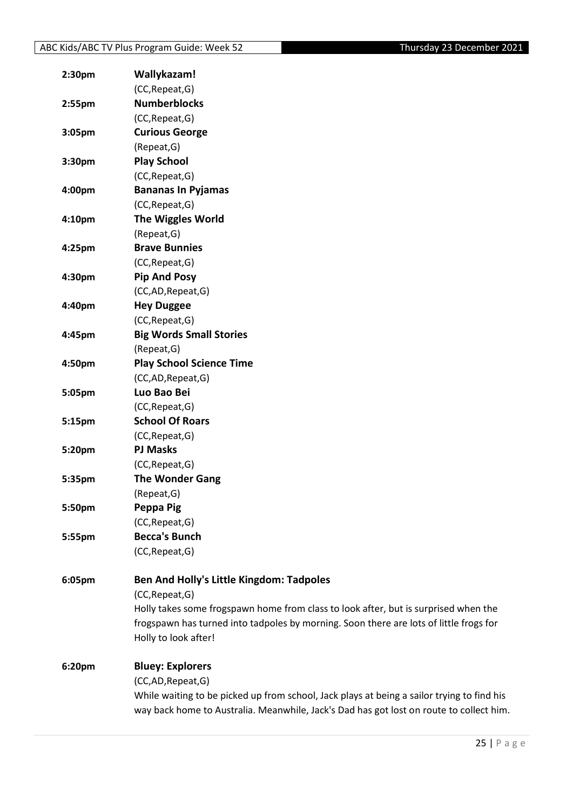| 2:30pm | Wallykazam!                                                                                |
|--------|--------------------------------------------------------------------------------------------|
|        | (CC, Repeat, G)                                                                            |
| 2:55pm | <b>Numberblocks</b>                                                                        |
|        | (CC, Repeat, G)                                                                            |
| 3:05pm | <b>Curious George</b>                                                                      |
|        | (Repeat, G)                                                                                |
| 3:30pm | <b>Play School</b>                                                                         |
|        | (CC, Repeat, G)                                                                            |
| 4:00pm | <b>Bananas In Pyjamas</b>                                                                  |
|        | (CC, Repeat, G)                                                                            |
| 4:10pm | <b>The Wiggles World</b>                                                                   |
|        | (Repeat, G)                                                                                |
| 4:25pm | <b>Brave Bunnies</b>                                                                       |
|        | (CC, Repeat, G)                                                                            |
| 4:30pm | <b>Pip And Posy</b>                                                                        |
|        | (CC,AD,Repeat,G)                                                                           |
| 4:40pm | <b>Hey Duggee</b>                                                                          |
|        | (CC, Repeat, G)                                                                            |
| 4:45pm | <b>Big Words Small Stories</b>                                                             |
|        | (Repeat, G)                                                                                |
| 4:50pm | <b>Play School Science Time</b>                                                            |
|        | (CC,AD, Repeat, G)                                                                         |
| 5:05pm | Luo Bao Bei                                                                                |
|        | (CC, Repeat, G)                                                                            |
| 5:15pm | <b>School Of Roars</b>                                                                     |
|        | (CC, Repeat, G)                                                                            |
| 5:20pm | <b>PJ Masks</b>                                                                            |
|        | (CC, Repeat, G)                                                                            |
| 5:35pm | <b>The Wonder Gang</b>                                                                     |
|        | (Repeat, G)                                                                                |
| 5:50pm | Peppa Pig                                                                                  |
|        | (CC, Repeat, G)                                                                            |
| 5:55pm | <b>Becca's Bunch</b>                                                                       |
|        | (CC, Repeat, G)                                                                            |
| 6:05pm | <b>Ben And Holly's Little Kingdom: Tadpoles</b>                                            |
|        | (CC, Repeat, G)                                                                            |
|        | Holly takes some frogspawn home from class to look after, but is surprised when the        |
|        | frogspawn has turned into tadpoles by morning. Soon there are lots of little frogs for     |
|        | Holly to look after!                                                                       |
| 6:20pm | <b>Bluey: Explorers</b>                                                                    |
|        | (CC,AD,Repeat,G)                                                                           |
|        | While waiting to be picked up from school, Jack plays at being a sailor trying to find his |
|        | way back home to Australia. Meanwhile, Jack's Dad has got lost on route to collect him.    |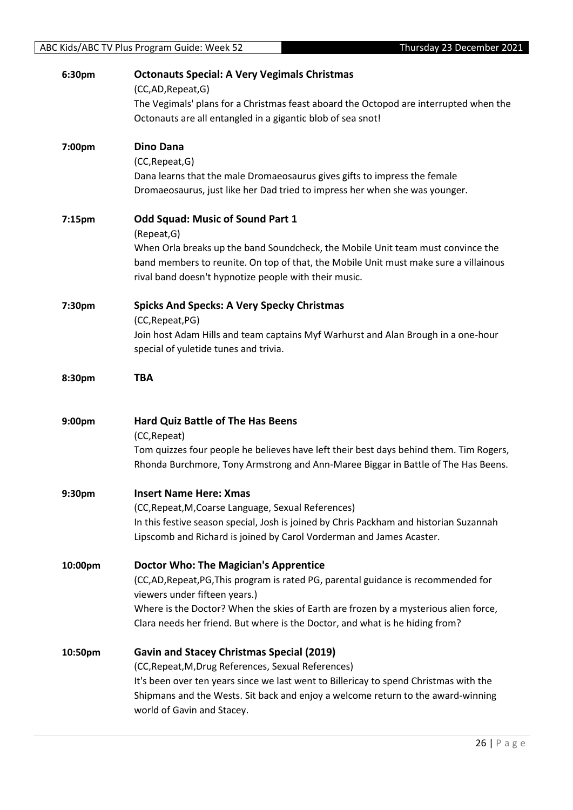| 6:30pm             | <b>Octonauts Special: A Very Vegimals Christmas</b>                                                                                                                                                                              |
|--------------------|----------------------------------------------------------------------------------------------------------------------------------------------------------------------------------------------------------------------------------|
|                    | (CC,AD,Repeat,G)<br>The Vegimals' plans for a Christmas feast aboard the Octopod are interrupted when the                                                                                                                        |
|                    | Octonauts are all entangled in a gigantic blob of sea snot!                                                                                                                                                                      |
| 7:00pm             | <b>Dino Dana</b>                                                                                                                                                                                                                 |
|                    | (CC, Repeat, G)                                                                                                                                                                                                                  |
|                    | Dana learns that the male Dromaeosaurus gives gifts to impress the female                                                                                                                                                        |
|                    | Dromaeosaurus, just like her Dad tried to impress her when she was younger.                                                                                                                                                      |
| 7:15pm             | <b>Odd Squad: Music of Sound Part 1</b>                                                                                                                                                                                          |
|                    | (Repeat, G)                                                                                                                                                                                                                      |
|                    | When Orla breaks up the band Soundcheck, the Mobile Unit team must convince the<br>band members to reunite. On top of that, the Mobile Unit must make sure a villainous<br>rival band doesn't hypnotize people with their music. |
| 7:30pm             | <b>Spicks And Specks: A Very Specky Christmas</b>                                                                                                                                                                                |
|                    | (CC, Repeat, PG)                                                                                                                                                                                                                 |
|                    | Join host Adam Hills and team captains Myf Warhurst and Alan Brough in a one-hour                                                                                                                                                |
|                    | special of yuletide tunes and trivia.                                                                                                                                                                                            |
| 8:30pm             | <b>TBA</b>                                                                                                                                                                                                                       |
| 9:00 <sub>pm</sub> | <b>Hard Quiz Battle of The Has Beens</b>                                                                                                                                                                                         |
|                    | (CC, Repeat)                                                                                                                                                                                                                     |
|                    | Tom quizzes four people he believes have left their best days behind them. Tim Rogers,<br>Rhonda Burchmore, Tony Armstrong and Ann-Maree Biggar in Battle of The Has Beens.                                                      |
| 9:30 <sub>pm</sub> | <b>Insert Name Here: Xmas</b>                                                                                                                                                                                                    |
|                    | (CC, Repeat, M, Coarse Language, Sexual References)                                                                                                                                                                              |
|                    | In this festive season special, Josh is joined by Chris Packham and historian Suzannah                                                                                                                                           |
|                    | Lipscomb and Richard is joined by Carol Vorderman and James Acaster.                                                                                                                                                             |
| 10:00pm            | <b>Doctor Who: The Magician's Apprentice</b>                                                                                                                                                                                     |
|                    | (CC,AD,Repeat,PG,This program is rated PG, parental guidance is recommended for                                                                                                                                                  |
|                    | viewers under fifteen years.)                                                                                                                                                                                                    |
|                    | Where is the Doctor? When the skies of Earth are frozen by a mysterious alien force,                                                                                                                                             |
|                    | Clara needs her friend. But where is the Doctor, and what is he hiding from?                                                                                                                                                     |
| 10:50pm            | <b>Gavin and Stacey Christmas Special (2019)</b>                                                                                                                                                                                 |
|                    | (CC, Repeat, M, Drug References, Sexual References)                                                                                                                                                                              |
|                    | It's been over ten years since we last went to Billericay to spend Christmas with the<br>Shipmans and the Wests. Sit back and enjoy a welcome return to the award-winning<br>world of Gavin and Stacey.                          |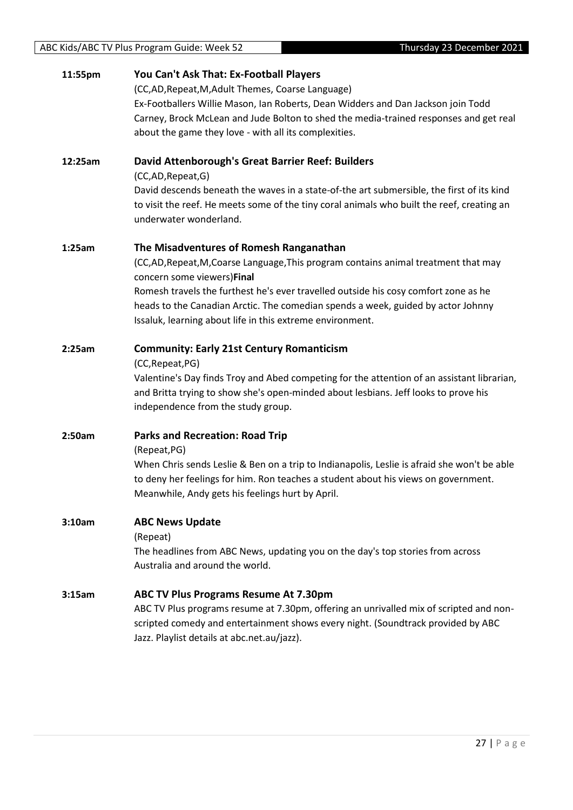| 11:55pm | You Can't Ask That: Ex-Football Players                                                                                                                                                                                               |
|---------|---------------------------------------------------------------------------------------------------------------------------------------------------------------------------------------------------------------------------------------|
|         | (CC,AD, Repeat, M, Adult Themes, Coarse Language)                                                                                                                                                                                     |
|         | Ex-Footballers Willie Mason, Ian Roberts, Dean Widders and Dan Jackson join Todd                                                                                                                                                      |
|         | Carney, Brock McLean and Jude Bolton to shed the media-trained responses and get real                                                                                                                                                 |
|         | about the game they love - with all its complexities.                                                                                                                                                                                 |
| 12:25am | David Attenborough's Great Barrier Reef: Builders                                                                                                                                                                                     |
|         | (CC,AD,Repeat,G)                                                                                                                                                                                                                      |
|         | David descends beneath the waves in a state-of-the art submersible, the first of its kind                                                                                                                                             |
|         | to visit the reef. He meets some of the tiny coral animals who built the reef, creating an<br>underwater wonderland.                                                                                                                  |
| 1:25am  | The Misadventures of Romesh Ranganathan                                                                                                                                                                                               |
|         | (CC,AD, Repeat, M, Coarse Language, This program contains animal treatment that may<br>concern some viewers) Final                                                                                                                    |
|         | Romesh travels the furthest he's ever travelled outside his cosy comfort zone as he                                                                                                                                                   |
|         | heads to the Canadian Arctic. The comedian spends a week, guided by actor Johnny                                                                                                                                                      |
|         | Issaluk, learning about life in this extreme environment.                                                                                                                                                                             |
| 2:25am  | <b>Community: Early 21st Century Romanticism</b>                                                                                                                                                                                      |
|         | (CC, Repeat, PG)                                                                                                                                                                                                                      |
|         | Valentine's Day finds Troy and Abed competing for the attention of an assistant librarian,<br>and Britta trying to show she's open-minded about lesbians. Jeff looks to prove his<br>independence from the study group.               |
| 2:50am  | <b>Parks and Recreation: Road Trip</b>                                                                                                                                                                                                |
|         | (Repeat, PG)                                                                                                                                                                                                                          |
|         | When Chris sends Leslie & Ben on a trip to Indianapolis, Leslie is afraid she won't be able<br>to deny her feelings for him. Ron teaches a student about his views on government.<br>Meanwhile, Andy gets his feelings hurt by April. |
| 3:10am  | <b>ABC News Update</b>                                                                                                                                                                                                                |
|         | (Repeat)                                                                                                                                                                                                                              |
|         | The headlines from ABC News, updating you on the day's top stories from across<br>Australia and around the world.                                                                                                                     |
| 3:15am  | ABC TV Plus Programs Resume At 7.30pm                                                                                                                                                                                                 |
|         | ABC TV Plus programs resume at 7.30pm, offering an unrivalled mix of scripted and non-                                                                                                                                                |
|         | scripted comedy and entertainment shows every night. (Soundtrack provided by ABC<br>Jazz. Playlist details at abc.net.au/jazz).                                                                                                       |
|         |                                                                                                                                                                                                                                       |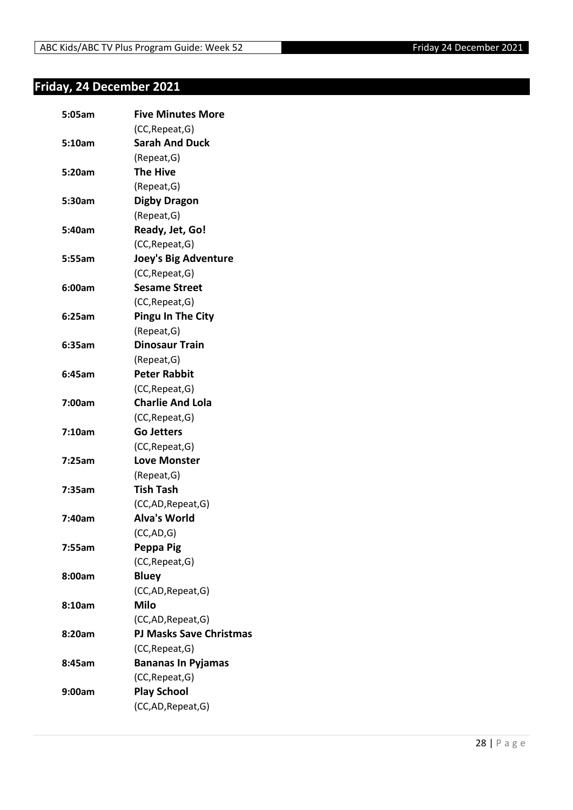## <span id="page-27-0"></span>**Friday, 24 December 2021**

| 5:05am | <b>Five Minutes More</b>       |
|--------|--------------------------------|
|        | (CC, Repeat, G)                |
| 5:10am | <b>Sarah And Duck</b>          |
|        | (Repeat, G)                    |
| 5:20am | <b>The Hive</b>                |
|        | (Repeat, G)                    |
| 5:30am | <b>Digby Dragon</b>            |
|        | (Repeat, G)                    |
| 5:40am | Ready, Jet, Go!                |
|        | (CC, Repeat, G)                |
| 5:55am | <b>Joey's Big Adventure</b>    |
|        | (CC, Repeat, G)                |
| 6:00am | <b>Sesame Street</b>           |
|        | (CC, Repeat, G)                |
| 6:25am | <b>Pingu In The City</b>       |
|        | (Repeat, G)                    |
| 6:35am | <b>Dinosaur Train</b>          |
|        | (Repeat, G)                    |
| 6:45am | <b>Peter Rabbit</b>            |
|        | (CC, Repeat, G)                |
| 7:00am | <b>Charlie And Lola</b>        |
|        | (CC, Repeat, G)                |
| 7:10am | <b>Go Jetters</b>              |
|        | (CC, Repeat, G)                |
| 7:25am | <b>Love Monster</b>            |
|        | (Repeat, G)                    |
| 7:35am | <b>Tish Tash</b>               |
|        | (CC,AD,Repeat,G)               |
| 7:40am | <b>Alva's World</b>            |
|        | (CC, AD, G)                    |
| 7:55am | Peppa Pig                      |
|        | (CC, Repeat, G)                |
| 8:00am | <b>Bluey</b>                   |
|        | (CC,AD, Repeat, G)             |
| 8:10am | <b>Milo</b>                    |
|        | (CC,AD,Repeat,G)               |
| 8:20am | <b>PJ Masks Save Christmas</b> |
|        | (CC, Repeat, G)                |
| 8:45am | <b>Bananas In Pyjamas</b>      |
|        | (CC, Repeat, G)                |
| 9:00am | <b>Play School</b>             |
|        | (CC,AD, Repeat, G)             |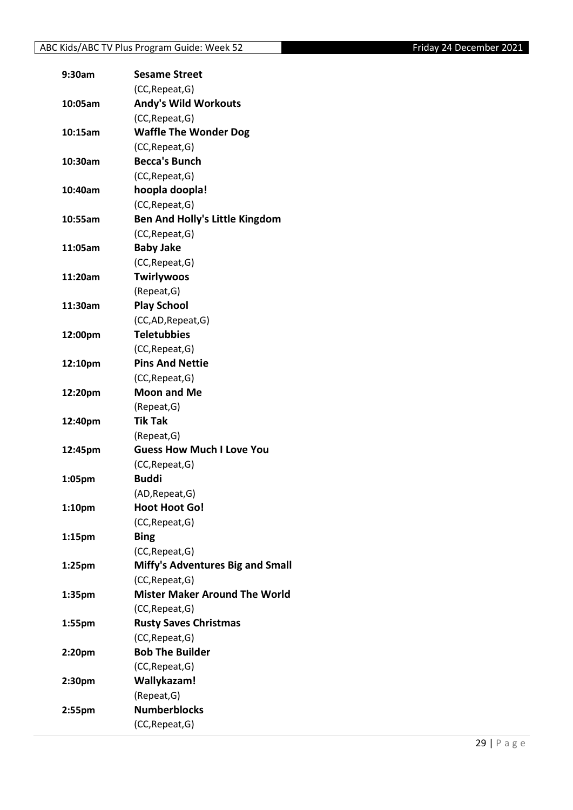| 9:30am    | <b>Sesame Street</b>                  |
|-----------|---------------------------------------|
|           | (CC, Repeat, G)                       |
| 10:05am   | <b>Andy's Wild Workouts</b>           |
|           | (CC, Repeat, G)                       |
| 10:15am   | <b>Waffle The Wonder Dog</b>          |
|           | (CC, Repeat, G)                       |
| 10:30am   | <b>Becca's Bunch</b>                  |
|           | (CC, Repeat, G)                       |
| 10:40am   | hoopla doopla!                        |
|           | (CC, Repeat, G)                       |
| 10:55am   | <b>Ben And Holly's Little Kingdom</b> |
|           | (CC, Repeat, G)                       |
| 11:05am   | <b>Baby Jake</b>                      |
|           | (CC, Repeat, G)                       |
| 11:20am   | <b>Twirlywoos</b>                     |
|           | (Repeat, G)                           |
| 11:30am   | <b>Play School</b>                    |
|           | (CC,AD,Repeat,G)                      |
| 12:00pm   | <b>Teletubbies</b>                    |
|           | (CC, Repeat, G)                       |
| 12:10pm   | <b>Pins And Nettie</b>                |
|           | (CC, Repeat, G)                       |
| 12:20pm   | <b>Moon and Me</b>                    |
|           | (Repeat, G)                           |
| 12:40pm   | <b>Tik Tak</b>                        |
|           | (Repeat, G)                           |
| 12:45pm   | <b>Guess How Much I Love You</b>      |
|           | (CC, Repeat, G)                       |
| 1:05pm    | <b>Buddi</b>                          |
|           | (AD, Repeat, G)                       |
| 1:10pm    | <b>Hoot Hoot Go!</b>                  |
|           | (CC, Repeat, G)                       |
| $1:15$ pm | <b>Bing</b>                           |
|           | (CC, Repeat, G)                       |
| 1:25pm    | Miffy's Adventures Big and Small      |
|           | (CC, Repeat, G)                       |
| 1:35pm    | <b>Mister Maker Around The World</b>  |
|           | (CC, Repeat, G)                       |
| 1:55pm    | <b>Rusty Saves Christmas</b>          |
|           | (CC, Repeat, G)                       |
| 2:20pm    | <b>Bob The Builder</b>                |
|           | (CC, Repeat, G)                       |
| 2:30pm    | Wallykazam!                           |
|           | (Repeat, G)                           |
| 2:55pm    | <b>Numberblocks</b>                   |
|           | (CC, Repeat, G)                       |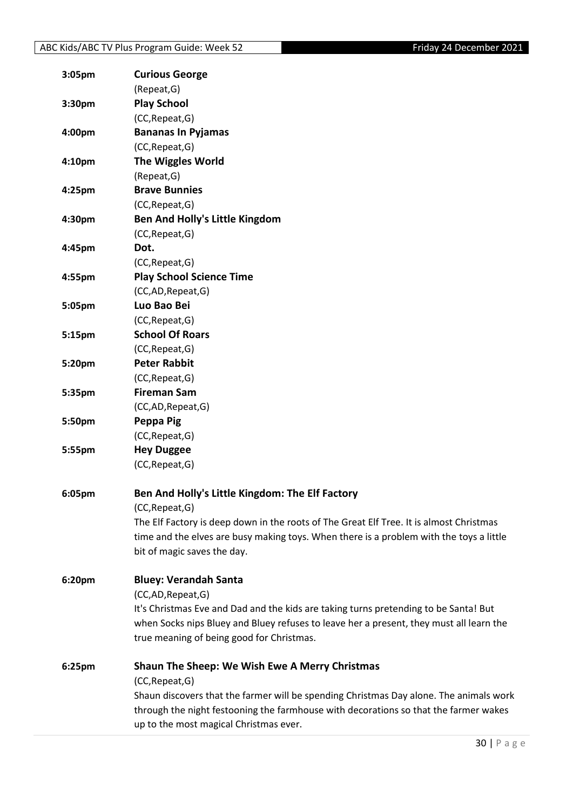| 3:05pm | <b>Curious George</b>                                                                   |
|--------|-----------------------------------------------------------------------------------------|
|        | (Repeat, G)                                                                             |
| 3:30pm | <b>Play School</b>                                                                      |
|        | (CC, Repeat, G)                                                                         |
| 4:00pm | <b>Bananas In Pyjamas</b>                                                               |
|        | (CC, Repeat, G)                                                                         |
| 4:10pm | <b>The Wiggles World</b>                                                                |
|        | (Repeat, G)                                                                             |
| 4:25pm | <b>Brave Bunnies</b>                                                                    |
|        | (CC, Repeat, G)                                                                         |
| 4:30pm | <b>Ben And Holly's Little Kingdom</b>                                                   |
|        | (CC, Repeat, G)                                                                         |
| 4:45pm | Dot.                                                                                    |
|        | (CC, Repeat, G)                                                                         |
| 4:55pm | <b>Play School Science Time</b>                                                         |
|        | (CC,AD,Repeat,G)                                                                        |
| 5:05pm | Luo Bao Bei                                                                             |
|        | (CC, Repeat, G)                                                                         |
| 5:15pm | <b>School Of Roars</b>                                                                  |
|        | (CC, Repeat, G)                                                                         |
| 5:20pm | <b>Peter Rabbit</b>                                                                     |
|        | (CC, Repeat, G)                                                                         |
| 5:35pm | <b>Fireman Sam</b>                                                                      |
|        | (CC,AD, Repeat, G)                                                                      |
| 5:50pm | Peppa Pig                                                                               |
|        | (CC, Repeat, G)                                                                         |
| 5:55pm | <b>Hey Duggee</b>                                                                       |
|        | (CC, Repeat, G)                                                                         |
| 6:05pm | Ben And Holly's Little Kingdom: The Elf Factory                                         |
|        | (CC, Repeat, G)                                                                         |
|        | The Elf Factory is deep down in the roots of The Great Elf Tree. It is almost Christmas |
|        | time and the elves are busy making toys. When there is a problem with the toys a little |
|        | bit of magic saves the day.                                                             |
| 6:20pm | <b>Bluey: Verandah Santa</b>                                                            |
|        | (CC,AD, Repeat, G)                                                                      |
|        | It's Christmas Eve and Dad and the kids are taking turns pretending to be Santa! But    |
|        | when Socks nips Bluey and Bluey refuses to leave her a present, they must all learn the |
|        | true meaning of being good for Christmas.                                               |
| 6:25pm | Shaun The Sheep: We Wish Ewe A Merry Christmas                                          |
|        | (CC, Repeat, G)                                                                         |
|        | Shaun discovers that the farmer will be spending Christmas Day alone. The animals work  |
|        | through the night festooning the farmhouse with decorations so that the farmer wakes    |
|        | up to the most magical Christmas ever.                                                  |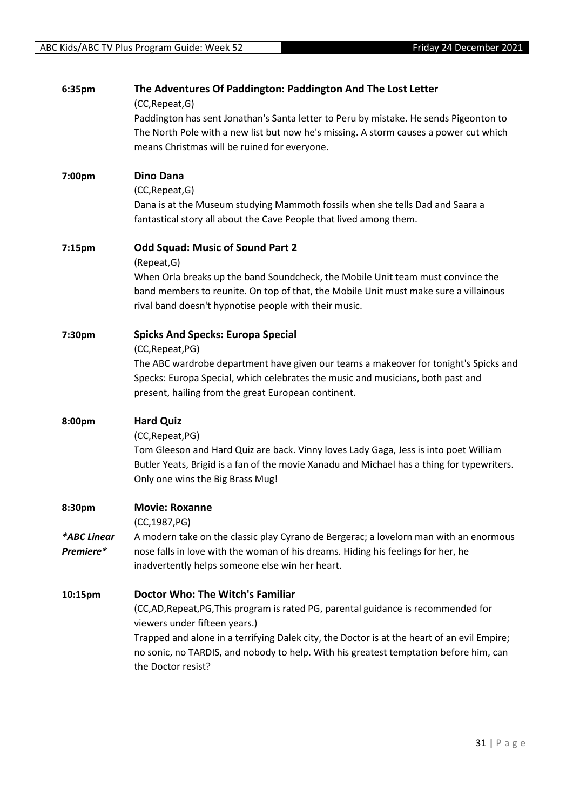| 6:35pm                             | The Adventures Of Paddington: Paddington And The Lost Letter<br>(CC, Repeat, G)<br>Paddington has sent Jonathan's Santa letter to Peru by mistake. He sends Pigeonton to<br>The North Pole with a new list but now he's missing. A storm causes a power cut which                                                                                                         |
|------------------------------------|---------------------------------------------------------------------------------------------------------------------------------------------------------------------------------------------------------------------------------------------------------------------------------------------------------------------------------------------------------------------------|
| 7:00pm                             | means Christmas will be ruined for everyone.<br><b>Dino Dana</b><br>(CC, Repeat, G)<br>Dana is at the Museum studying Mammoth fossils when she tells Dad and Saara a<br>fantastical story all about the Cave People that lived among them.                                                                                                                                |
| 7:15pm                             | <b>Odd Squad: Music of Sound Part 2</b><br>(Repeat, G)<br>When Orla breaks up the band Soundcheck, the Mobile Unit team must convince the<br>band members to reunite. On top of that, the Mobile Unit must make sure a villainous<br>rival band doesn't hypnotise people with their music.                                                                                |
| 7:30pm                             | <b>Spicks And Specks: Europa Special</b><br>(CC, Repeat, PG)<br>The ABC wardrobe department have given our teams a makeover for tonight's Spicks and<br>Specks: Europa Special, which celebrates the music and musicians, both past and<br>present, hailing from the great European continent.                                                                            |
| 8:00pm                             | <b>Hard Quiz</b><br>(CC, Repeat, PG)<br>Tom Gleeson and Hard Quiz are back. Vinny loves Lady Gaga, Jess is into poet William<br>Butler Yeats, Brigid is a fan of the movie Xanadu and Michael has a thing for typewriters.<br>Only one wins the Big Brass Mug!                                                                                                            |
| 8:30pm<br>*ABC Linear<br>Premiere* | <b>Movie: Roxanne</b><br>(CC, 1987, PG)<br>A modern take on the classic play Cyrano de Bergerac; a lovelorn man with an enormous<br>nose falls in love with the woman of his dreams. Hiding his feelings for her, he<br>inadvertently helps someone else win her heart.                                                                                                   |
| 10:15pm                            | <b>Doctor Who: The Witch's Familiar</b><br>(CC,AD,Repeat,PG,This program is rated PG, parental guidance is recommended for<br>viewers under fifteen years.)<br>Trapped and alone in a terrifying Dalek city, the Doctor is at the heart of an evil Empire;<br>no sonic, no TARDIS, and nobody to help. With his greatest temptation before him, can<br>the Doctor resist? |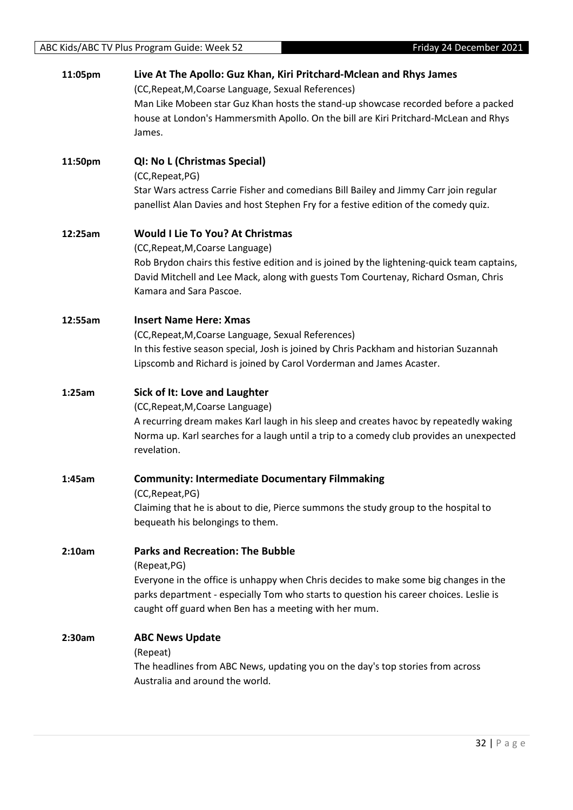| 11:05pm | Live At The Apollo: Guz Khan, Kiri Pritchard-Mclean and Rhys James<br>(CC, Repeat, M, Coarse Language, Sexual References)<br>Man Like Mobeen star Guz Khan hosts the stand-up showcase recorded before a packed                         |
|---------|-----------------------------------------------------------------------------------------------------------------------------------------------------------------------------------------------------------------------------------------|
|         | house at London's Hammersmith Apollo. On the bill are Kiri Pritchard-McLean and Rhys<br>James.                                                                                                                                          |
| 11:50pm | QI: No L (Christmas Special)<br>(CC, Repeat, PG)                                                                                                                                                                                        |
|         | Star Wars actress Carrie Fisher and comedians Bill Bailey and Jimmy Carr join regular<br>panellist Alan Davies and host Stephen Fry for a festive edition of the comedy quiz.                                                           |
| 12:25am | <b>Would I Lie To You? At Christmas</b>                                                                                                                                                                                                 |
|         | (CC, Repeat, M, Coarse Language)                                                                                                                                                                                                        |
|         | Rob Brydon chairs this festive edition and is joined by the lightening-quick team captains,<br>David Mitchell and Lee Mack, along with guests Tom Courtenay, Richard Osman, Chris<br>Kamara and Sara Pascoe.                            |
| 12:55am | <b>Insert Name Here: Xmas</b>                                                                                                                                                                                                           |
|         | (CC, Repeat, M, Coarse Language, Sexual References)                                                                                                                                                                                     |
|         | In this festive season special, Josh is joined by Chris Packham and historian Suzannah                                                                                                                                                  |
|         | Lipscomb and Richard is joined by Carol Vorderman and James Acaster.                                                                                                                                                                    |
| 1:25am  | Sick of It: Love and Laughter                                                                                                                                                                                                           |
|         | (CC, Repeat, M, Coarse Language)                                                                                                                                                                                                        |
|         | A recurring dream makes Karl laugh in his sleep and creates havoc by repeatedly waking<br>Norma up. Karl searches for a laugh until a trip to a comedy club provides an unexpected                                                      |
|         | revelation.                                                                                                                                                                                                                             |
| 1:45am  | <b>Community: Intermediate Documentary Filmmaking</b><br>(CC, Repeat, PG)                                                                                                                                                               |
|         | Claiming that he is about to die, Pierce summons the study group to the hospital to<br>bequeath his belongings to them.                                                                                                                 |
| 2:10am  | <b>Parks and Recreation: The Bubble</b><br>(Repeat, PG)                                                                                                                                                                                 |
|         | Everyone in the office is unhappy when Chris decides to make some big changes in the<br>parks department - especially Tom who starts to question his career choices. Leslie is<br>caught off guard when Ben has a meeting with her mum. |
| 2:30am  | <b>ABC News Update</b><br>(Repeat)                                                                                                                                                                                                      |
|         | The headlines from ABC News, updating you on the day's top stories from across<br>Australia and around the world.                                                                                                                       |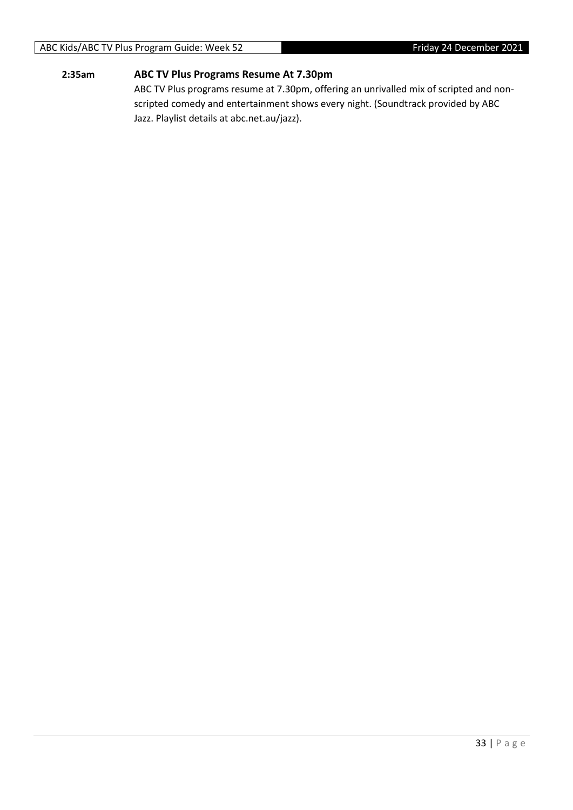### **2:35am ABC TV Plus Programs Resume At 7.30pm**

ABC TV Plus programs resume at 7.30pm, offering an unrivalled mix of scripted and nonscripted comedy and entertainment shows every night. (Soundtrack provided by ABC Jazz. Playlist details at abc.net.au/jazz).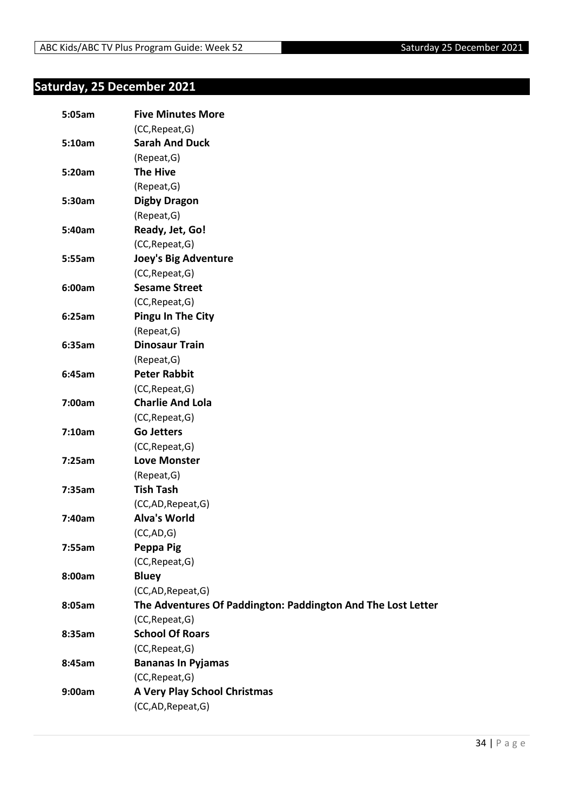## <span id="page-33-0"></span>**Saturday, 25 December 2021**

| 5:05am | <b>Five Minutes More</b>                                     |
|--------|--------------------------------------------------------------|
|        | (CC, Repeat, G)                                              |
| 5:10am | <b>Sarah And Duck</b>                                        |
|        | (Repeat, G)                                                  |
| 5:20am | <b>The Hive</b>                                              |
|        | (Repeat, G)                                                  |
| 5:30am | <b>Digby Dragon</b>                                          |
|        | (Repeat, G)                                                  |
| 5:40am | Ready, Jet, Go!                                              |
|        | (CC, Repeat, G)                                              |
| 5:55am | <b>Joey's Big Adventure</b>                                  |
|        | (CC, Repeat, G)                                              |
| 6:00am | <b>Sesame Street</b>                                         |
|        | (CC, Repeat, G)                                              |
| 6:25am | <b>Pingu In The City</b>                                     |
|        | (Repeat, G)                                                  |
| 6:35am | <b>Dinosaur Train</b>                                        |
|        | (Repeat, G)                                                  |
| 6:45am | <b>Peter Rabbit</b>                                          |
|        | (CC, Repeat, G)                                              |
| 7:00am | <b>Charlie And Lola</b>                                      |
|        | (CC, Repeat, G)                                              |
| 7:10am | <b>Go Jetters</b>                                            |
|        | (CC, Repeat, G)                                              |
| 7:25am | <b>Love Monster</b>                                          |
|        | (Repeat, G)                                                  |
| 7:35am | <b>Tish Tash</b>                                             |
|        | (CC,AD,Repeat,G)                                             |
| 7:40am | <b>Alva's World</b>                                          |
|        | (CC, AD, G)                                                  |
| 7:55am | Peppa Pig                                                    |
|        | (CC, Repeat, G)                                              |
| 8:00am | <b>Bluey</b>                                                 |
|        | (CC,AD,Repeat,G)                                             |
| 8:05am | The Adventures Of Paddington: Paddington And The Lost Letter |
|        | (CC, Repeat, G)                                              |
| 8:35am | <b>School Of Roars</b>                                       |
|        | (CC, Repeat, G)                                              |
| 8:45am | <b>Bananas In Pyjamas</b>                                    |
|        | (CC, Repeat, G)                                              |
| 9:00am | A Very Play School Christmas                                 |
|        | (CC,AD,Repeat,G)                                             |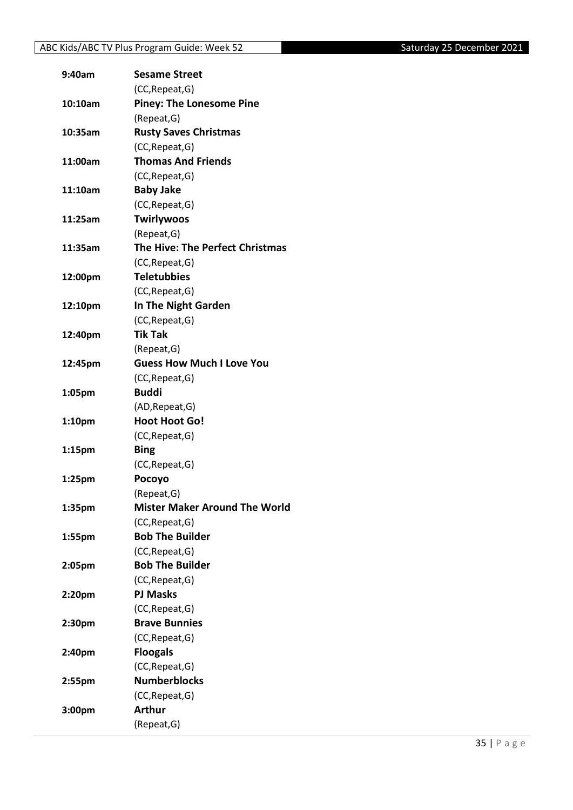| 9:40am             | <b>Sesame Street</b>                 |
|--------------------|--------------------------------------|
|                    | (CC, Repeat, G)                      |
| 10:10am            | <b>Piney: The Lonesome Pine</b>      |
|                    | (Repeat, G)                          |
| 10:35am            | <b>Rusty Saves Christmas</b>         |
|                    | (CC, Repeat, G)                      |
| 11:00am            | <b>Thomas And Friends</b>            |
|                    | (CC, Repeat, G)                      |
| 11:10am            | <b>Baby Jake</b>                     |
|                    | (CC, Repeat, G)                      |
| 11:25am            | <b>Twirlywoos</b>                    |
|                    | (Repeat, G)                          |
| 11:35am            | The Hive: The Perfect Christmas      |
|                    | (CC, Repeat, G)                      |
| 12:00pm            | <b>Teletubbies</b>                   |
|                    | (CC, Repeat, G)                      |
| 12:10pm            | In The Night Garden                  |
|                    | (CC, Repeat, G)                      |
| 12:40pm            | <b>Tik Tak</b>                       |
|                    | (Repeat, G)                          |
| 12:45pm            | <b>Guess How Much I Love You</b>     |
|                    | (CC, Repeat, G)                      |
| 1:05pm             | <b>Buddi</b>                         |
|                    | (AD, Repeat, G)                      |
| 1:10 <sub>pm</sub> | <b>Hoot Hoot Go!</b>                 |
|                    | (CC, Repeat, G)                      |
| $1:15$ pm          | <b>Bing</b>                          |
|                    | (CC, Repeat, G)                      |
| 1:25 <sub>pm</sub> | Pocoyo                               |
|                    | (Repeat, G)                          |
| 1:35pm             | <b>Mister Maker Around The World</b> |
|                    | (CC, Repeat, G)                      |
| 1:55pm             | <b>Bob The Builder</b>               |
|                    | (CC, Repeat, G)                      |
| 2:05pm             | <b>Bob The Builder</b>               |
|                    | (CC, Repeat, G)                      |
| 2:20pm             | <b>PJ Masks</b>                      |
|                    | (CC, Repeat, G)                      |
| 2:30pm             | <b>Brave Bunnies</b>                 |
|                    | (CC, Repeat, G)                      |
| 2:40pm             | <b>Floogals</b>                      |
|                    | (CC, Repeat, G)                      |
| 2:55pm             | <b>Numberblocks</b>                  |
|                    | (CC, Repeat, G)                      |
| 3:00pm             | <b>Arthur</b>                        |
|                    | (Repeat, G)                          |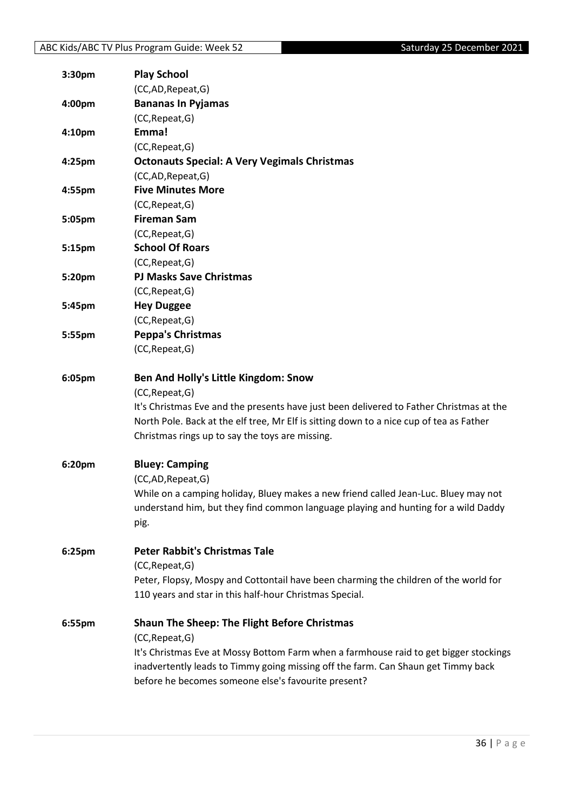| 3:30pm | <b>Play School</b>                                                                      |
|--------|-----------------------------------------------------------------------------------------|
|        | (CC,AD,Repeat,G)                                                                        |
| 4:00pm | <b>Bananas In Pyjamas</b>                                                               |
|        | (CC, Repeat, G)                                                                         |
| 4:10pm | Emma!                                                                                   |
|        | (CC, Repeat, G)                                                                         |
| 4:25pm | <b>Octonauts Special: A Very Vegimals Christmas</b>                                     |
|        | (CC,AD,Repeat,G)                                                                        |
| 4:55pm | <b>Five Minutes More</b>                                                                |
|        | (CC, Repeat, G)                                                                         |
| 5:05pm | <b>Fireman Sam</b>                                                                      |
|        | (CC, Repeat, G)                                                                         |
| 5:15pm | <b>School Of Roars</b>                                                                  |
|        | (CC, Repeat, G)                                                                         |
| 5:20pm | <b>PJ Masks Save Christmas</b>                                                          |
|        | (CC, Repeat, G)                                                                         |
| 5:45pm | <b>Hey Duggee</b>                                                                       |
|        | (CC, Repeat, G)                                                                         |
| 5:55pm | <b>Peppa's Christmas</b>                                                                |
|        | (CC, Repeat, G)                                                                         |
| 6:05pm | Ben And Holly's Little Kingdom: Snow                                                    |
|        | (CC, Repeat, G)                                                                         |
|        | It's Christmas Eve and the presents have just been delivered to Father Christmas at the |
|        | North Pole. Back at the elf tree, Mr Elf is sitting down to a nice cup of tea as Father |
|        | Christmas rings up to say the toys are missing.                                         |
| 6:20pm | <b>Bluey: Camping</b>                                                                   |
|        | (CC,AD,Repeat,G)                                                                        |
|        | While on a camping holiday, Bluey makes a new friend called Jean-Luc. Bluey may not     |
|        | understand him, but they find common language playing and hunting for a wild Daddy      |
|        | pig.                                                                                    |
| 6:25pm | <b>Peter Rabbit's Christmas Tale</b>                                                    |
|        | (CC, Repeat, G)                                                                         |
|        | Peter, Flopsy, Mospy and Cottontail have been charming the children of the world for    |
|        | 110 years and star in this half-hour Christmas Special.                                 |
| 6:55pm | <b>Shaun The Sheep: The Flight Before Christmas</b>                                     |
|        | (CC, Repeat, G)                                                                         |
|        | It's Christmas Eve at Mossy Bottom Farm when a farmhouse raid to get bigger stockings   |
|        | inadvertently leads to Timmy going missing off the farm. Can Shaun get Timmy back       |
|        | before he becomes someone else's favourite present?                                     |
|        |                                                                                         |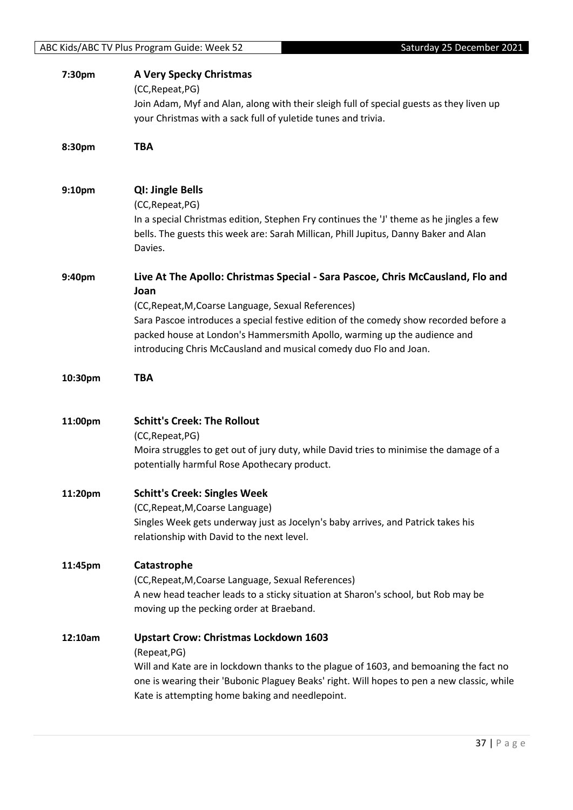| ABC Kids/ABC TV Plus Program Guide: Week 52<br>Saturday 25 December 2021 |                                                                                                                                                                                                                                                                                                                                                                                         |
|--------------------------------------------------------------------------|-----------------------------------------------------------------------------------------------------------------------------------------------------------------------------------------------------------------------------------------------------------------------------------------------------------------------------------------------------------------------------------------|
| 7:30pm                                                                   | A Very Specky Christmas<br>(CC, Repeat, PG)<br>Join Adam, Myf and Alan, along with their sleigh full of special guests as they liven up<br>your Christmas with a sack full of yuletide tunes and trivia.                                                                                                                                                                                |
| 8:30pm                                                                   | <b>TBA</b>                                                                                                                                                                                                                                                                                                                                                                              |
| 9:10pm                                                                   | QI: Jingle Bells<br>(CC, Repeat, PG)<br>In a special Christmas edition, Stephen Fry continues the 'J' theme as he jingles a few<br>bells. The guests this week are: Sarah Millican, Phill Jupitus, Danny Baker and Alan<br>Davies.                                                                                                                                                      |
| 9:40pm                                                                   | Live At The Apollo: Christmas Special - Sara Pascoe, Chris McCausland, Flo and<br>Joan<br>(CC, Repeat, M, Coarse Language, Sexual References)<br>Sara Pascoe introduces a special festive edition of the comedy show recorded before a<br>packed house at London's Hammersmith Apollo, warming up the audience and<br>introducing Chris McCausland and musical comedy duo Flo and Joan. |
| 10:30pm                                                                  | <b>TBA</b>                                                                                                                                                                                                                                                                                                                                                                              |
| 11:00pm                                                                  | <b>Schitt's Creek: The Rollout</b><br>(CC, Repeat, PG)<br>Moira struggles to get out of jury duty, while David tries to minimise the damage of a<br>potentially harmful Rose Apothecary product.                                                                                                                                                                                        |
| 11:20pm                                                                  | <b>Schitt's Creek: Singles Week</b><br>(CC, Repeat, M, Coarse Language)<br>Singles Week gets underway just as Jocelyn's baby arrives, and Patrick takes his<br>relationship with David to the next level.                                                                                                                                                                               |
| 11:45pm                                                                  | Catastrophe<br>(CC, Repeat, M, Coarse Language, Sexual References)<br>A new head teacher leads to a sticky situation at Sharon's school, but Rob may be<br>moving up the pecking order at Braeband.                                                                                                                                                                                     |
| 12:10am                                                                  | <b>Upstart Crow: Christmas Lockdown 1603</b><br>(Repeat, PG)<br>Will and Kate are in lockdown thanks to the plague of 1603, and bemoaning the fact no<br>one is wearing their 'Bubonic Plaguey Beaks' right. Will hopes to pen a new classic, while<br>Kate is attempting home baking and needlepoint.                                                                                  |